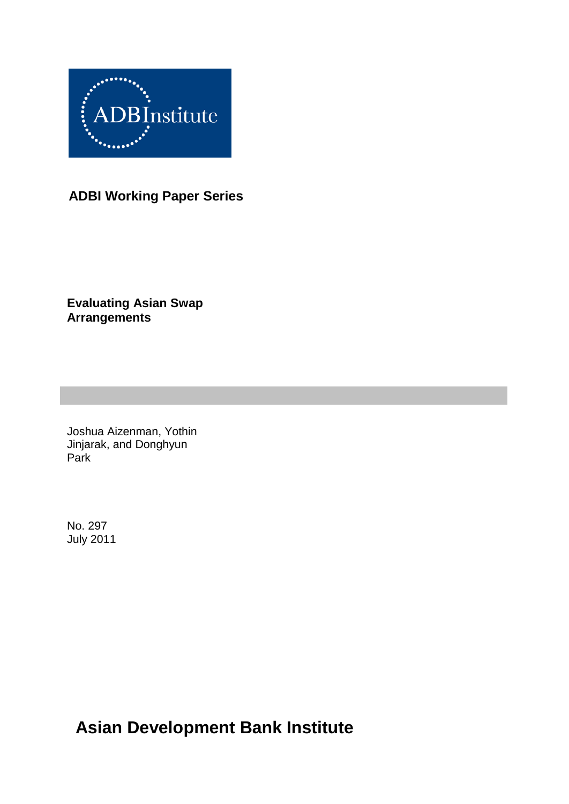

# **ADBI Working Paper Series**

**Evaluating Asian Swap Arrangements**

Joshua Aizenman, Yothin Jinjarak, and Donghyun Park

No. 297 July 2011

# **Asian Development Bank Institute**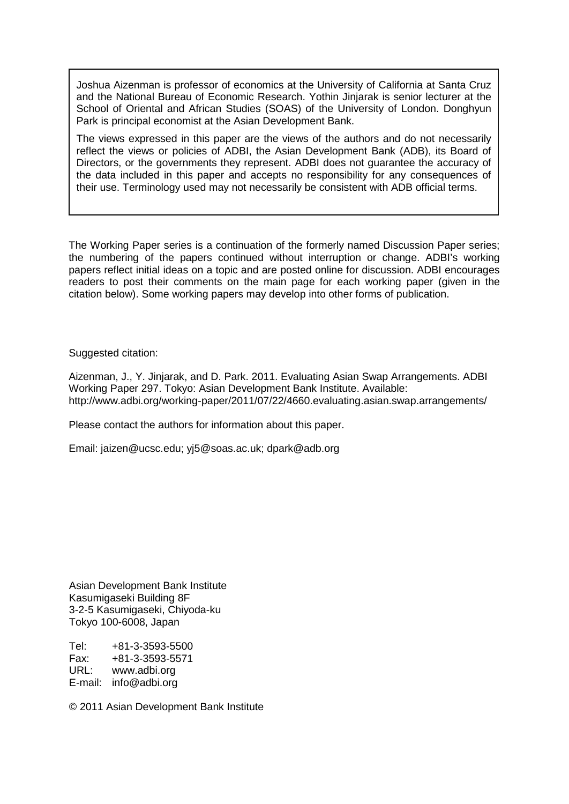Joshua Aizenman is professor of economics at the University of California at Santa Cruz and the National Bureau of Economic Research. Yothin Jinjarak is senior lecturer at the School of Oriental and African Studies (SOAS) of the University of London. Donghyun Park is principal economist at the Asian Development Bank.

The views expressed in this paper are the views of the authors and do not necessarily reflect the views or policies of ADBI, the Asian Development Bank (ADB), its Board of Directors, or the governments they represent. ADBI does not guarantee the accuracy of the data included in this paper and accepts no responsibility for any consequences of their use. Terminology used may not necessarily be consistent with ADB official terms.

The Working Paper series is a continuation of the formerly named Discussion Paper series; the numbering of the papers continued without interruption or change. ADBI's working papers reflect initial ideas on a topic and are posted online for discussion. ADBI encourages readers to post their comments on the main page for each working paper (given in the citation below). Some working papers may develop into other forms of publication.

Suggested citation:

Aizenman, J., Y. Jinjarak, and D. Park. 2011. Evaluating Asian Swap Arrangements. ADBI Working Paper 297. Tokyo: Asian Development Bank Institute. Available: http://www.adbi.org/working-paper/2011/07/22/4660.evaluating.asian.swap.arrangements/

Please contact the authors for information about this paper.

Email: [jaizen@ucsc.edu;](mailto:jaizen@ucsc.edu) [yj5@soas.ac.uk;](mailto:yj5@soas.ac.uk) [dpark@adb.org](mailto:dpark@adb.org)

Asian Development Bank Institute Kasumigaseki Building 8F 3-2-5 Kasumigaseki, Chiyoda-ku Tokyo 100-6008, Japan

Tel: +81-3-3593-5500 Fax: +81-3-3593-5571 www.adbi.org E-mail: info@adbi.org

© 2011 Asian Development Bank Institute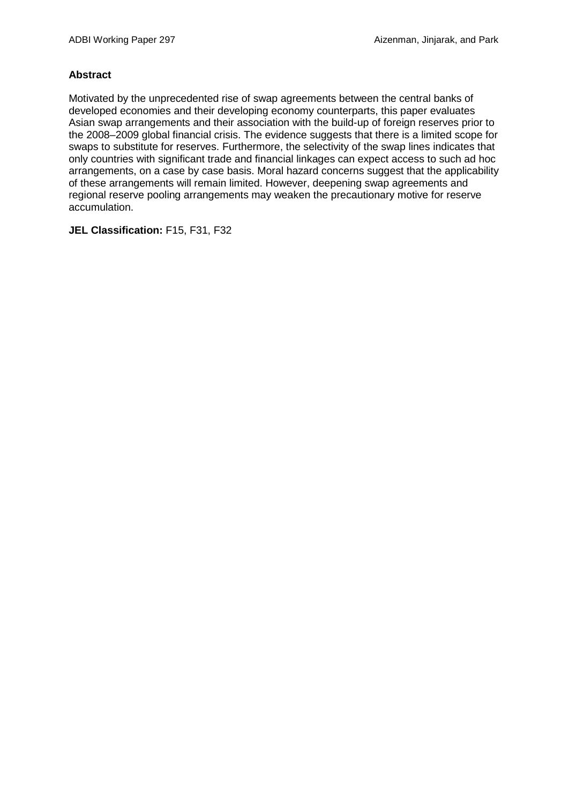#### **Abstract**

Motivated by the unprecedented rise of swap agreements between the central banks of developed economies and their developing economy counterparts, this paper evaluates Asian swap arrangements and their association with the build-up of foreign reserves prior to the 2008–2009 global financial crisis. The evidence suggests that there is a limited scope for swaps to substitute for reserves. Furthermore, the selectivity of the swap lines indicates that only countries with significant trade and financial linkages can expect access to such ad hoc arrangements, on a case by case basis. Moral hazard concerns suggest that the applicability of these arrangements will remain limited. However, deepening swap agreements and regional reserve pooling arrangements may weaken the precautionary motive for reserve accumulation.

**JEL Classification:** F15, F31, F32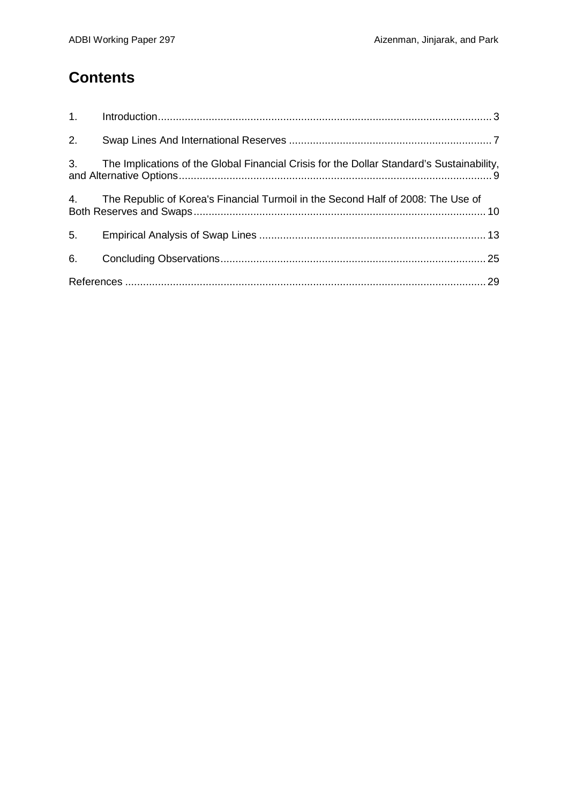# **Contents**

| 1. |                                                                                           |  |
|----|-------------------------------------------------------------------------------------------|--|
| 2. |                                                                                           |  |
| 3. | The Implications of the Global Financial Crisis for the Dollar Standard's Sustainability, |  |
| 4. | The Republic of Korea's Financial Turmoil in the Second Half of 2008: The Use of          |  |
| 5. |                                                                                           |  |
| 6. |                                                                                           |  |
|    |                                                                                           |  |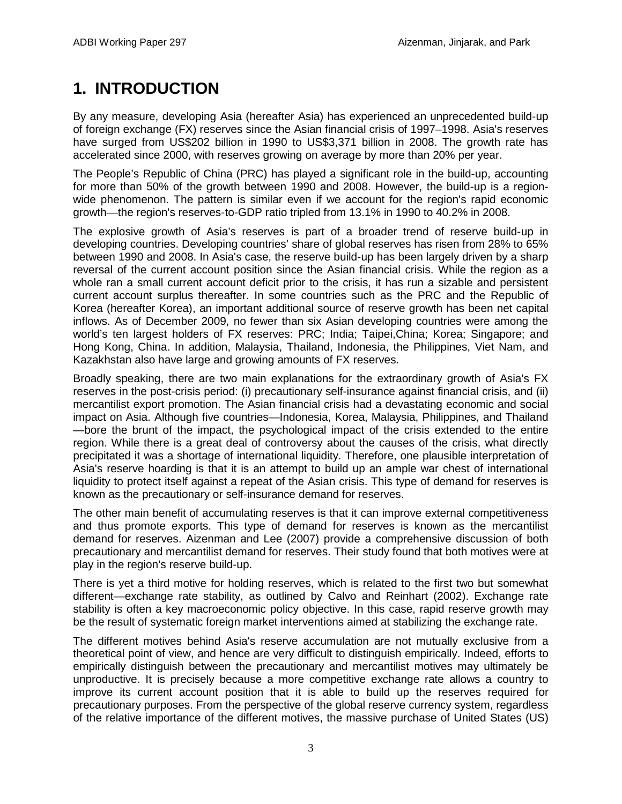# **1. INTRODUCTION**

<span id="page-4-0"></span>By any measure, developing Asia (hereafter Asia) has experienced an unprecedented build-up of foreign exchange (FX) reserves since the Asian financial crisis of 1997–1998. Asia's reserves have surged from US\$202 billion in 1990 to US\$3,371 billion in 2008. The growth rate has accelerated since 2000, with reserves growing on average by more than 20% per year.

The People's Republic of China (PRC) has played a significant role in the build-up, accounting for more than 50% of the growth between 1990 and 2008. However, the build-up is a regionwide phenomenon. The pattern is similar even if we account for the region's rapid economic growth—the region's reserves-to-GDP ratio tripled from 13.1% in 1990 to 40.2% in 2008.

The explosive growth of Asia's reserves is part of a broader trend of reserve build-up in developing countries. Developing countries' share of global reserves has risen from 28% to 65% between 1990 and 2008. In Asia's case, the reserve build-up has been largely driven by a sharp reversal of the current account position since the Asian financial crisis. While the region as a whole ran a small current account deficit prior to the crisis, it has run a sizable and persistent current account surplus thereafter. In some countries such as the PRC and the Republic of Korea (hereafter Korea), an important additional source of reserve growth has been net capital inflows. As of December 2009, no fewer than six Asian developing countries were among the world's ten largest holders of FX reserves: PRC; India; Taipei,China; Korea; Singapore; and Hong Kong, China. In addition, Malaysia, Thailand, Indonesia, the Philippines, Viet Nam, and Kazakhstan also have large and growing amounts of FX reserves.

Broadly speaking, there are two main explanations for the extraordinary growth of Asia's FX reserves in the post-crisis period: (i) precautionary self-insurance against financial crisis, and (ii) mercantilist export promotion. The Asian financial crisis had a devastating economic and social impact on Asia. Although five countries—Indonesia, Korea, Malaysia, Philippines, and Thailand —bore the brunt of the impact, the psychological impact of the crisis extended to the entire region. While there is a great deal of controversy about the causes of the crisis, what directly precipitated it was a shortage of international liquidity. Therefore, one plausible interpretation of Asia's reserve hoarding is that it is an attempt to build up an ample war chest of international liquidity to protect itself against a repeat of the Asian crisis. This type of demand for reserves is known as the precautionary or self-insurance demand for reserves.

The other main benefit of accumulating reserves is that it can improve external competitiveness and thus promote exports. This type of demand for reserves is known as the mercantilist demand for reserves. Aizenman and Lee (2007) provide a comprehensive discussion of both precautionary and mercantilist demand for reserves. Their study found that both motives were at play in the region's reserve build-up.

There is yet a third motive for holding reserves, which is related to the first two but somewhat different—exchange rate stability, as outlined by Calvo and Reinhart (2002). Exchange rate stability is often a key macroeconomic policy objective. In this case, rapid reserve growth may be the result of systematic foreign market interventions aimed at stabilizing the exchange rate.

The different motives behind Asia's reserve accumulation are not mutually exclusive from a theoretical point of view, and hence are very difficult to distinguish empirically. Indeed, efforts to empirically distinguish between the precautionary and mercantilist motives may ultimately be unproductive. It is precisely because a more competitive exchange rate allows a country to improve its current account position that it is able to build up the reserves required for precautionary purposes. From the perspective of the global reserve currency system, regardless of the relative importance of the different motives, the massive purchase of United States (US)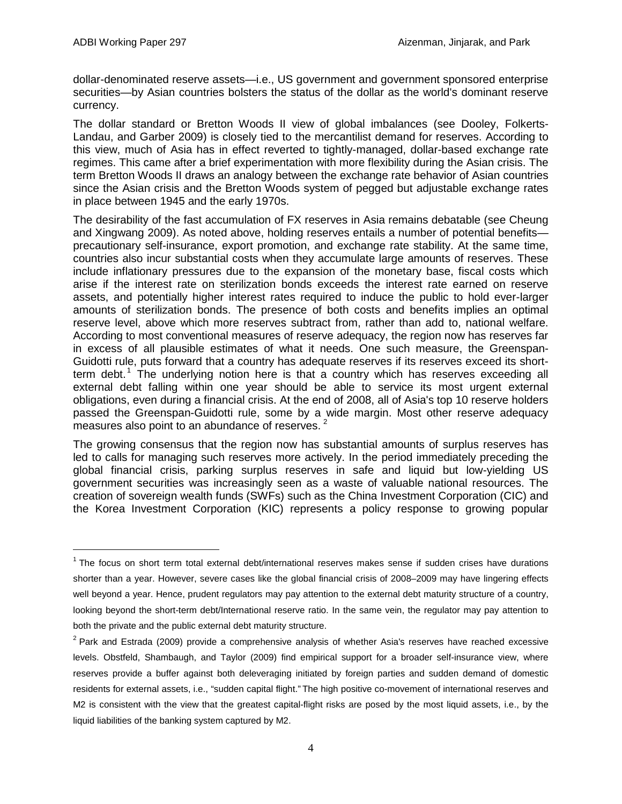dollar-denominated reserve assets—i.e., US government and government sponsored enterprise securities—by Asian countries bolsters the status of the dollar as the world's dominant reserve currency.

The dollar standard or Bretton Woods II view of global imbalances (see Dooley, Folkerts-Landau, and Garber 2009) is closely tied to the mercantilist demand for reserves. According to this view, much of Asia has in effect reverted to tightly-managed, dollar-based exchange rate regimes. This came after a brief experimentation with more flexibility during the Asian crisis. The term Bretton Woods II draws an analogy between the exchange rate behavior of Asian countries since the Asian crisis and the Bretton Woods system of pegged but adjustable exchange rates in place between 1945 and the early 1970s.

The desirability of the fast accumulation of FX reserves in Asia remains debatable (see Cheung and Xingwang 2009). As noted above, holding reserves entails a number of potential benefits precautionary self-insurance, export promotion, and exchange rate stability. At the same time, countries also incur substantial costs when they accumulate large amounts of reserves. These include inflationary pressures due to the expansion of the monetary base, fiscal costs which arise if the interest rate on sterilization bonds exceeds the interest rate earned on reserve assets, and potentially higher interest rates required to induce the public to hold ever-larger amounts of sterilization bonds. The presence of both costs and benefits implies an optimal reserve level, above which more reserves subtract from, rather than add to, national welfare. According to most conventional measures of reserve adequacy, the region now has reserves far in excess of all plausible estimates of what it needs. One such measure, the Greenspan-Guidotti rule, puts forward that a country has adequate reserves if its reserves exceed its short-term debt.<sup>[1](#page-5-0)</sup> The underlying notion here is that a country which has reserves exceeding all external debt falling within one year should be able to service its most urgent external obligations, even during a financial crisis. At the end of 2008, all of Asia's top 10 reserve holders passed the Greenspan-Guidotti rule, some by a wide margin. Most other reserve adequacy measures also point to an abundance of reserves.<sup>[2](#page-5-1)</sup>

The growing consensus that the region now has substantial amounts of surplus reserves has led to calls for managing such reserves more actively. In the period immediately preceding the global financial crisis, parking surplus reserves in safe and liquid but low-yielding US government securities was increasingly seen as a waste of valuable national resources. The creation of sovereign wealth funds (SWFs) such as the China Investment Corporation (CIC) and the Korea Investment Corporation (KIC) represents a policy response to growing popular

<span id="page-5-0"></span> $1$  The focus on short term total external debt/international reserves makes sense if sudden crises have durations shorter than a year. However, severe cases like the global financial crisis of 2008–2009 may have lingering effects well beyond a year. Hence, prudent regulators may pay attention to the external debt maturity structure of a country, looking beyond the short-term debt/International reserve ratio. In the same vein, the regulator may pay attention to both the private and the public external debt maturity structure.

<span id="page-5-1"></span> $2$  Park and Estrada (2009) provide a comprehensive analysis of whether Asia's reserves have reached excessive levels. Obstfeld, Shambaugh, and Taylor (2009) find empirical support for a broader self-insurance view, where reserves provide a buffer against both deleveraging initiated by foreign parties and sudden demand of domestic residents for external assets, i.e., "sudden capital flight." The high positive co-movement of international reserves and M2 is consistent with the view that the greatest capital-flight risks are posed by the most liquid assets, i.e., by the liquid liabilities of the banking system captured by M2.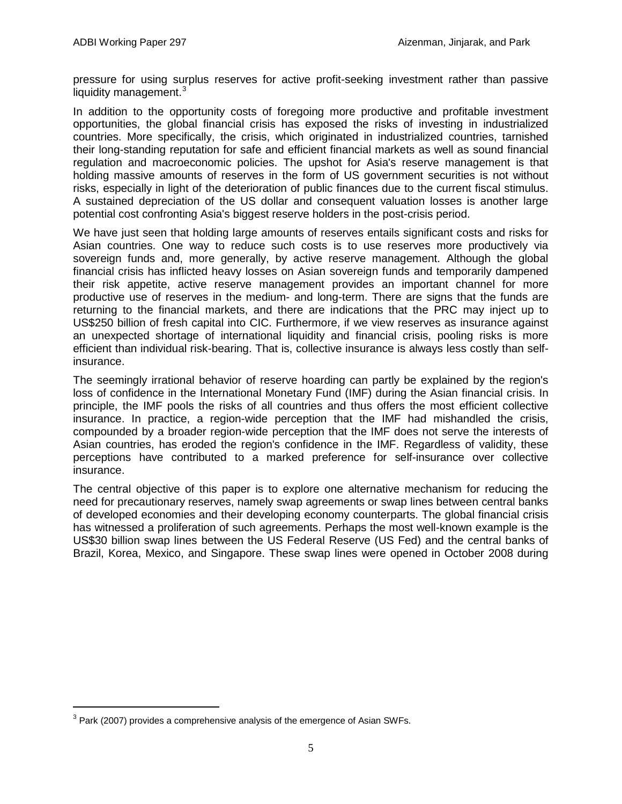pressure for using surplus reserves for active profit-seeking investment rather than passive liquidity management. $3$ 

In addition to the opportunity costs of foregoing more productive and profitable investment opportunities, the global financial crisis has exposed the risks of investing in industrialized countries. More specifically, the crisis, which originated in industrialized countries, tarnished their long-standing reputation for safe and efficient financial markets as well as sound financial regulation and macroeconomic policies. The upshot for Asia's reserve management is that holding massive amounts of reserves in the form of US government securities is not without risks, especially in light of the deterioration of public finances due to the current fiscal stimulus. A sustained depreciation of the US dollar and consequent valuation losses is another large potential cost confronting Asia's biggest reserve holders in the post-crisis period.

We have just seen that holding large amounts of reserves entails significant costs and risks for Asian countries. One way to reduce such costs is to use reserves more productively via sovereign funds and, more generally, by active reserve management. Although the global financial crisis has inflicted heavy losses on Asian sovereign funds and temporarily dampened their risk appetite, active reserve management provides an important channel for more productive use of reserves in the medium- and long-term. There are signs that the funds are returning to the financial markets, and there are indications that the PRC may inject up to US\$250 billion of fresh capital into CIC. Furthermore, if we view reserves as insurance against an unexpected shortage of international liquidity and financial crisis, pooling risks is more efficient than individual risk-bearing. That is, collective insurance is always less costly than selfinsurance.

The seemingly irrational behavior of reserve hoarding can partly be explained by the region's loss of confidence in the International Monetary Fund (IMF) during the Asian financial crisis. In principle, the IMF pools the risks of all countries and thus offers the most efficient collective insurance. In practice, a region-wide perception that the IMF had mishandled the crisis, compounded by a broader region-wide perception that the IMF does not serve the interests of Asian countries, has eroded the region's confidence in the IMF. Regardless of validity, these perceptions have contributed to a marked preference for self-insurance over collective insurance.

The central objective of this paper is to explore one alternative mechanism for reducing the need for precautionary reserves, namely swap agreements or swap lines between central banks of developed economies and their developing economy counterparts. The global financial crisis has witnessed a proliferation of such agreements. Perhaps the most well-known example is the US\$30 billion swap lines between the US Federal Reserve (US Fed) and the central banks of Brazil, Korea, Mexico, and Singapore. These swap lines were opened in October 2008 during

<span id="page-6-0"></span> $3$  Park (2007) provides a comprehensive analysis of the emergence of Asian SWFs.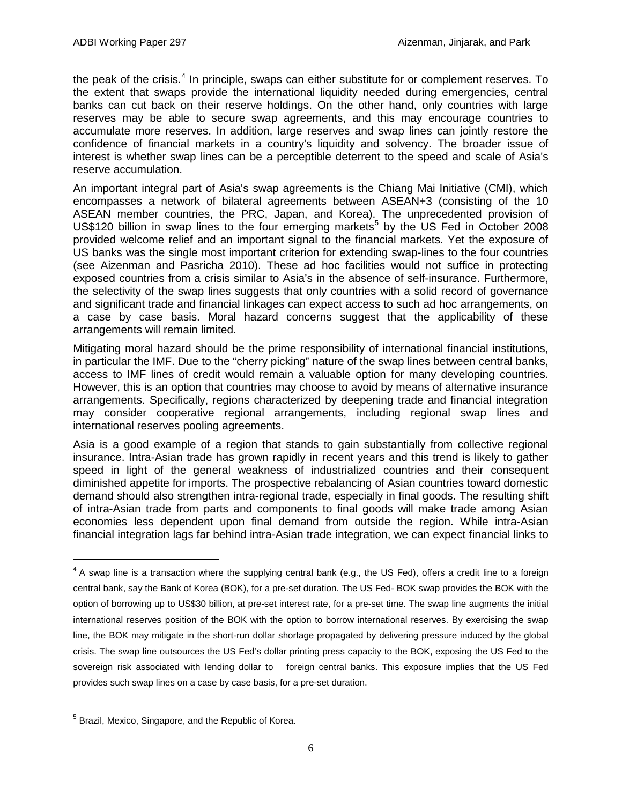the peak of the crisis.<sup>[4](#page-7-0)</sup> In principle, swaps can either substitute for or complement reserves. To the extent that swaps provide the international liquidity needed during emergencies, central banks can cut back on their reserve holdings. On the other hand, only countries with large reserves may be able to secure swap agreements, and this may encourage countries to accumulate more reserves. In addition, large reserves and swap lines can jointly restore the confidence of financial markets in a country's liquidity and solvency. The broader issue of interest is whether swap lines can be a perceptible deterrent to the speed and scale of Asia's reserve accumulation.

An important integral part of Asia's swap agreements is the Chiang Mai Initiative (CMI), which encompasses a network of bilateral agreements between ASEAN+3 (consisting of the 10 ASEAN member countries, the PRC, Japan, and Korea). The unprecedented provision of US\$120 billion in swap lines to the four emerging markets<sup>[5](#page-7-1)</sup> by the US Fed in October 2008 provided welcome relief and an important signal to the financial markets. Yet the exposure of US banks was the single most important criterion for extending swap-lines to the four countries (see Aizenman and Pasricha 2010). These ad hoc facilities would not suffice in protecting exposed countries from a crisis similar to Asia's in the absence of self-insurance. Furthermore, the selectivity of the swap lines suggests that only countries with a solid record of governance and significant trade and financial linkages can expect access to such ad hoc arrangements, on a case by case basis. Moral hazard concerns suggest that the applicability of these arrangements will remain limited.

Mitigating moral hazard should be the prime responsibility of international financial institutions, in particular the IMF. Due to the "cherry picking" nature of the swap lines between central banks, access to IMF lines of credit would remain a valuable option for many developing countries. However, this is an option that countries may choose to avoid by means of alternative insurance arrangements. Specifically, regions characterized by deepening trade and financial integration may consider cooperative regional arrangements, including regional swap lines and international reserves pooling agreements.

Asia is a good example of a region that stands to gain substantially from collective regional insurance. Intra-Asian trade has grown rapidly in recent years and this trend is likely to gather speed in light of the general weakness of industrialized countries and their consequent diminished appetite for imports. The prospective rebalancing of Asian countries toward domestic demand should also strengthen intra-regional trade, especially in final goods. The resulting shift of intra-Asian trade from parts and components to final goods will make trade among Asian economies less dependent upon final demand from outside the region. While intra-Asian financial integration lags far behind intra-Asian trade integration, we can expect financial links to

<span id="page-7-0"></span> $4$  A swap line is a transaction where the supplying central bank (e.g., the US Fed), offers a credit line to a foreign central bank, say the Bank of Korea (BOK), for a pre-set duration. The US Fed- BOK swap provides the BOK with the option of borrowing up to US\$30 billion, at pre-set interest rate, for a pre-set time. The swap line augments the initial international reserves position of the BOK with the option to borrow international reserves. By exercising the swap line, the BOK may mitigate in the short-run dollar shortage propagated by delivering pressure induced by the global crisis. The swap line outsources the US Fed's dollar printing press capacity to the BOK, exposing the US Fed to the sovereign risk associated with lending dollar to foreign central banks. This exposure implies that the US Fed provides such swap lines on a case by case basis, for a pre-set duration.

<span id="page-7-1"></span><sup>5</sup> Brazil, Mexico, Singapore, and the Republic of Korea.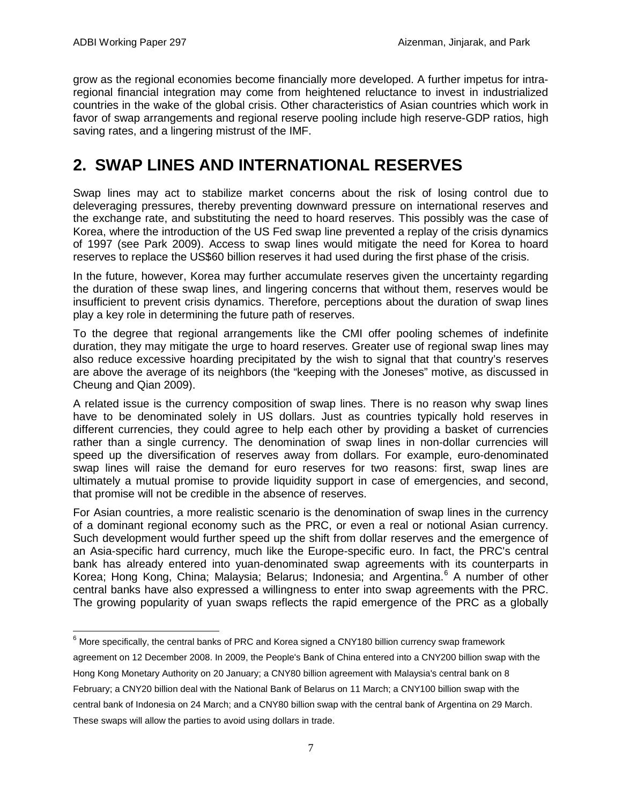grow as the regional economies become financially more developed. A further impetus for intraregional financial integration may come from heightened reluctance to invest in industrialized countries in the wake of the global crisis. Other characteristics of Asian countries which work in favor of swap arrangements and regional reserve pooling include high reserve-GDP ratios, high saving rates, and a lingering mistrust of the IMF.

# **2. SWAP LINES AND INTERNATIONAL RESERVES**

<span id="page-8-0"></span>Swap lines may act to stabilize market concerns about the risk of losing control due to deleveraging pressures, thereby preventing downward pressure on international reserves and the exchange rate, and substituting the need to hoard reserves. This possibly was the case of Korea, where the introduction of the US Fed swap line prevented a replay of the crisis dynamics of 1997 (see Park 2009). Access to swap lines would mitigate the need for Korea to hoard reserves to replace the US\$60 billion reserves it had used during the first phase of the crisis.

In the future, however, Korea may further accumulate reserves given the uncertainty regarding the duration of these swap lines, and lingering concerns that without them, reserves would be insufficient to prevent crisis dynamics. Therefore, perceptions about the duration of swap lines play a key role in determining the future path of reserves.

To the degree that regional arrangements like the CMI offer pooling schemes of indefinite duration, they may mitigate the urge to hoard reserves. Greater use of regional swap lines may also reduce excessive hoarding precipitated by the wish to signal that that country's reserves are above the average of its neighbors (the "keeping with the Joneses" motive, as discussed in Cheung and Qian 2009).

A related issue is the currency composition of swap lines. There is no reason why swap lines have to be denominated solely in US dollars. Just as countries typically hold reserves in different currencies, they could agree to help each other by providing a basket of currencies rather than a single currency. The denomination of swap lines in non-dollar currencies will speed up the diversification of reserves away from dollars. For example, euro-denominated swap lines will raise the demand for euro reserves for two reasons: first, swap lines are ultimately a mutual promise to provide liquidity support in case of emergencies, and second, that promise will not be credible in the absence of reserves.

For Asian countries, a more realistic scenario is the denomination of swap lines in the currency of a dominant regional economy such as the PRC, or even a real or notional Asian currency. Such development would further speed up the shift from dollar reserves and the emergence of an Asia-specific hard currency, much like the Europe-specific euro. In fact, the PRC's central bank has already entered into yuan-denominated swap agreements with its counterparts in Korea; Hong Kong, China; Malaysia; Belarus; Indonesia; and Argentina.<sup>[6](#page-8-1)</sup> A number of other central banks have also expressed a willingness to enter into swap agreements with the PRC. The growing popularity of yuan swaps reflects the rapid emergence of the PRC as a globally

agreement on 12 December 2008. In 2009, the People's Bank of China entered into a CNY200 billion swap with the Hong Kong Monetary Authority on 20 January; a CNY80 billion agreement with Malaysia's central bank on 8 February; a CNY20 billion deal with the National Bank of Belarus on 11 March; a CNY100 billion swap with the central bank of Indonesia on 24 March; and a CNY80 billion swap with the central bank of Argentina on 29 March. These swaps will allow the parties to avoid using dollars in trade.

<span id="page-8-1"></span> $6$  More specifically, the central banks of PRC and Korea signed a CNY180 billion currency swap framework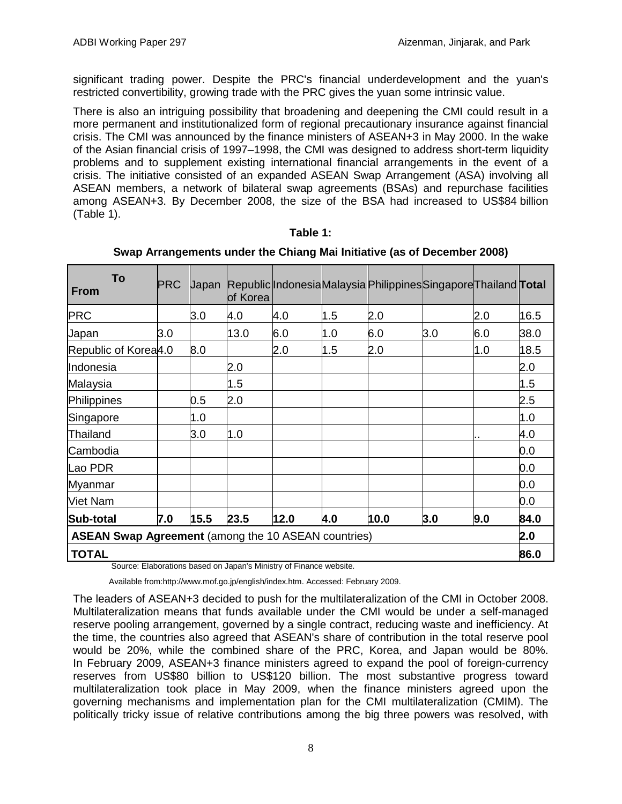significant trading power. Despite the PRC's financial underdevelopment and the yuan's restricted convertibility, growing trade with the PRC gives the yuan some intrinsic value.

There is also an intriguing possibility that broadening and deepening the CMI could result in a more permanent and institutionalized form of regional precautionary insurance against financial crisis. The CMI was announced by the finance ministers of ASEAN+3 in May 2000. In the wake of the Asian financial crisis of 1997–1998, the CMI was designed to address short-term liquidity problems and to supplement existing international financial arrangements in the event of a crisis. The initiative consisted of an expanded ASEAN Swap Arrangement (ASA) involving all ASEAN members, a network of bilateral swap agreements (BSAs) and repurchase facilities among ASEAN+3. By December 2008, the size of the BSA had increased to US\$84 billion (Table 1) .

| Table |  |
|-------|--|
|-------|--|

| To<br><b>From</b>                                          | <b>PRC</b> | <b>Japan</b> | of Korea |      |     | Republic Indonesia Malaysia Philippines Singapore Thailand Total |     |      |      |
|------------------------------------------------------------|------------|--------------|----------|------|-----|------------------------------------------------------------------|-----|------|------|
| <b>PRC</b>                                                 |            | 3.0          | 4.0      | 4.0  | 1.5 | 2.0                                                              |     | 2.0  | 16.5 |
| Japan                                                      | 3.0        |              | 13.0     | 6.0  | 1.0 | 6.0                                                              | 3.0 | 6.0  | 38.0 |
| Republic of Korea4.0                                       |            | 8.0          |          | 2.0  | 1.5 | 2.0                                                              |     | 1.0  | 18.5 |
| Indonesia                                                  |            |              | 2.0      |      |     |                                                                  |     |      | 2.0  |
| Malaysia                                                   |            |              | 1.5      |      |     |                                                                  |     |      | 1.5  |
| Philippines                                                |            | 0.5          | 2.0      |      |     |                                                                  |     |      | 2.5  |
| Singapore                                                  |            | 1.0          |          |      |     |                                                                  |     |      | 1.0  |
| Thailand                                                   |            | 3.0          | 1.0      |      |     |                                                                  |     |      | 4.0  |
| Cambodia                                                   |            |              |          |      |     |                                                                  |     |      | 0.0  |
| Lao PDR                                                    |            |              |          |      |     |                                                                  |     |      | 0.0  |
| <b>Myanmar</b>                                             |            |              |          |      |     |                                                                  |     |      | 0.0  |
| Viet Nam                                                   |            |              |          |      |     |                                                                  |     |      | 0.0  |
| Sub-total                                                  | 7.0        | 15.5         | 23.5     | 12.0 | 4.0 | 10.0                                                             | 3.0 | 9.0  | 84.0 |
| <b>ASEAN Swap Agreement</b> (among the 10 ASEAN countries) |            |              |          |      |     |                                                                  |     |      | 2.0  |
| <b>TOTAL</b>                                               |            |              |          |      |     |                                                                  |     | 86.0 |      |

| Swap Arrangements under the Chiang Mai Initiative (as of December 2008) |  |  |  |  |  |  |  |  |
|-------------------------------------------------------------------------|--|--|--|--|--|--|--|--|
|-------------------------------------------------------------------------|--|--|--|--|--|--|--|--|

Source: Elaborations based on Japan's Ministry of Finance website.

Available from:http://www.mof.go.jp/english/index.htm. Accessed: February 2009.

The leaders of ASEAN+3 decided to push for the multilateralization of the CMI in October 2008. Multilateralization means that funds available under the CMI would be under a self-managed reserve pooling arrangement, governed by a single contract, reducing waste and inefficiency. At the time, the countries also agreed that ASEAN's share of contribution in the total reserve pool would be 20%, while the combined share of the PRC, Korea, and Japan would be 80%. In February 2009, ASEAN+3 finance ministers agreed to expand the pool of foreign-currency reserves from US\$80 billion to US\$120 billion. The most substantive progress toward multilateralization took place in May 2009, when the finance ministers agreed upon the governing mechanisms and implementation plan for the CMI multilateralization (CMIM). The politically tricky issue of relative contributions among the big three powers was resolved, with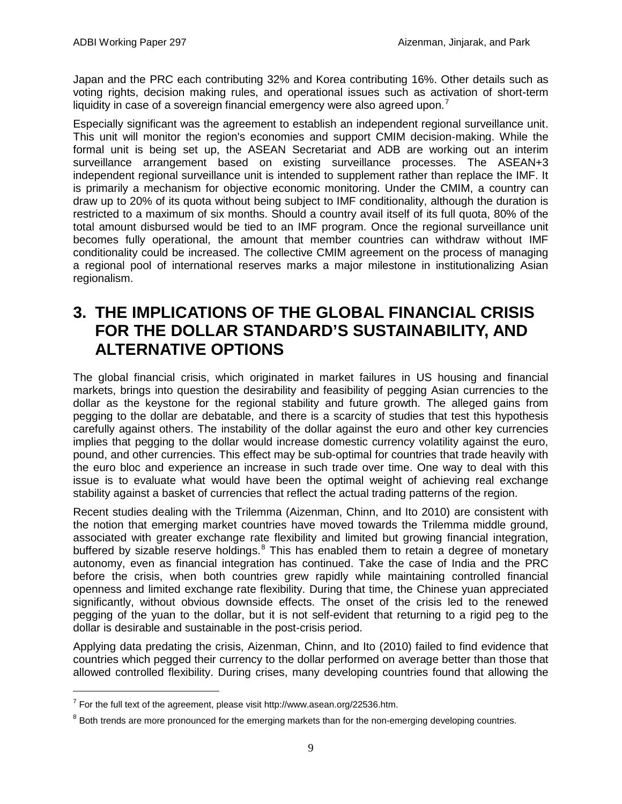Japan and the PRC each contributing 32% and Korea contributing 16%. Other details such as voting rights, decision making rules, and operational issues such as activation of short-term liquidity in case of a sovereign financial emergency were also agreed upon.<sup>[7](#page-10-1)</sup>

Especially significant was the agreement to establish an independent regional surveillance unit. This unit will monitor the region's economies and support CMIM decision-making. While the formal unit is being set up, the ASEAN Secretariat and ADB are working out an interim surveillance arrangement based on existing surveillance processes. The ASEAN+3 independent regional surveillance unit is intended to supplement rather than replace the IMF. It is primarily a mechanism for objective economic monitoring. Under the CMIM, a country can draw up to 20% of its quota without being subject to IMF conditionality, although the duration is restricted to a maximum of six months. Should a country avail itself of its full quota, 80% of the total amount disbursed would be tied to an IMF program. Once the regional surveillance unit becomes fully operational, the amount that member countries can withdraw without IMF conditionality could be increased. The collective CMIM agreement on the process of managing a regional pool of international reserves marks a major milestone in institutionalizing Asian regionalism.

## **3. THE IMPLICATIONS OF THE GLOBAL FINANCIAL CRISIS FOR THE DOLLAR STANDARD'S SUSTAINABILITY, AND ALTERNATIVE OPTIONS**

<span id="page-10-0"></span>The global financial crisis, which originated in market failures in US housing and financial markets, brings into question the desirability and feasibility of pegging Asian currencies to the dollar as the keystone for the regional stability and future growth. The alleged gains from pegging to the dollar are debatable, and there is a scarcity of studies that test this hypothesis carefully against others. The instability of the dollar against the euro and other key currencies implies that pegging to the dollar would increase domestic currency volatility against the euro, pound, and other currencies. This effect may be sub-optimal for countries that trade heavily with the euro bloc and experience an increase in such trade over time. One way to deal with this issue is to evaluate what would have been the optimal weight of achieving real exchange stability against a basket of currencies that reflect the actual trading patterns of the region.

Recent studies dealing with the Trilemma (Aizenman, Chinn, and Ito 2010) are consistent with the notion that emerging market countries have moved towards the Trilemma middle ground, associated with greater exchange rate flexibility and limited but growing financial integration, buffered by sizable reserve holdings.<sup>[8](#page-10-2)</sup> This has enabled them to retain a degree of monetary autonomy, even as financial integration has continued. Take the case of India and the PRC before the crisis, when both countries grew rapidly while maintaining controlled financial openness and limited exchange rate flexibility. During that time, the Chinese yuan appreciated significantly, without obvious downside effects. The onset of the crisis led to the renewed pegging of the yuan to the dollar, but it is not self-evident that returning to a rigid peg to the dollar is desirable and sustainable in the post-crisis period.

Applying data predating the crisis, Aizenman, Chinn, and Ito (2010) failed to find evidence that countries which pegged their currency to the dollar performed on average better than those that allowed controlled flexibility. During crises, many developing countries found that allowing the

<span id="page-10-1"></span> $7$  For the full text of the agreement, please visit http://www.asean.org/22536.htm.

<span id="page-10-2"></span><sup>&</sup>lt;sup>8</sup> Both trends are more pronounced for the emerging markets than for the non-emerging developing countries.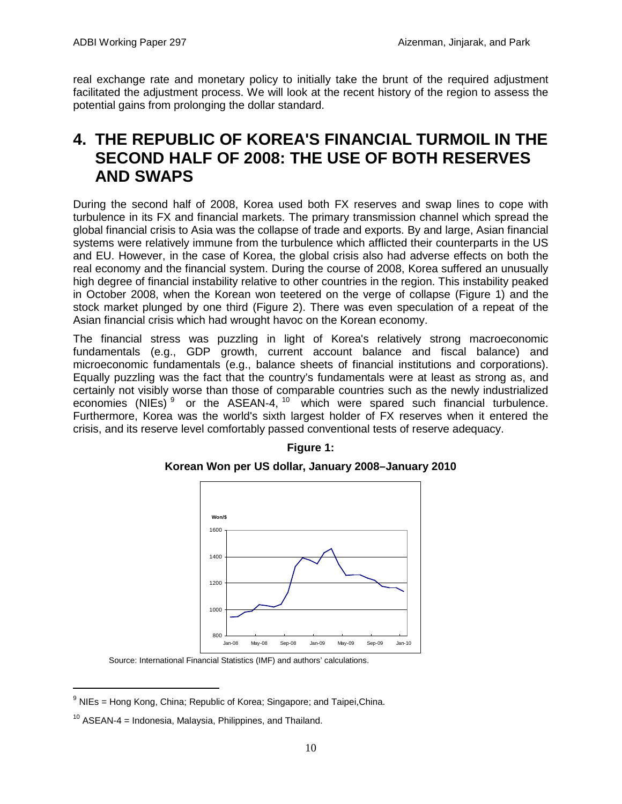real exchange rate and monetary policy to initially take the brunt of the required adjustment facilitated the adjustment process. We will look at the recent history of the region to assess the potential gains from prolonging the dollar standard.

## **4. THE REPUBLIC OF KOREA'S FINANCIAL TURMOIL IN THE SECOND HALF OF 2008: THE USE OF BOTH RESERVES AND SWAPS**

<span id="page-11-0"></span>During the second half of 2008, Korea used both FX reserves and swap lines to cope with turbulence in its FX and financial markets. The primary transmission channel which spread the global financial crisis to Asia was the collapse of trade and exports. By and large, Asian financial systems were relatively immune from the turbulence which afflicted their counterparts in the US and EU. However, in the case of Korea, the global crisis also had adverse effects on both the real economy and the financial system. During the course of 2008, Korea suffered an unusually high degree of financial instability relative to other countries in the region. This instability peaked in October 2008, when the Korean won teetered on the verge of collapse (Figure 1) and the stock market plunged by one third (Figure 2). There was even speculation of a repeat of the Asian financial crisis which had wrought havoc on the Korean economy.

The financial stress was puzzling in light of Korea's relatively strong macroeconomic fundamentals (e.g., GDP growth, current account balance and fiscal balance) and microeconomic fundamentals (e.g., balance sheets of financial institutions and corporations). Equally puzzling was the fact that the country's fundamentals were at least as strong as, and certainly not visibly worse than those of comparable countries such as the newly industrialized economies (NIEs)<sup>[9](#page-11-1)</sup> or the ASEAN-4,  $10$  which were spared such financial turbulence. Furthermore, Korea was the world's sixth largest holder of FX reserves when it entered the crisis, and its reserve level comfortably passed conventional tests of reserve adequacy.



## **Figure 1:**

**Korean Won per US dollar, January 2008–January 2010**

Source: International Financial Statistics (IMF) and authors' calculations.

<span id="page-11-1"></span> $<sup>9</sup>$  NIEs = Hong Kong, China; Republic of Korea; Singapore; and Taipei, China.</sup>

<span id="page-11-2"></span> $10$  ASEAN-4 = Indonesia, Malaysia, Philippines, and Thailand.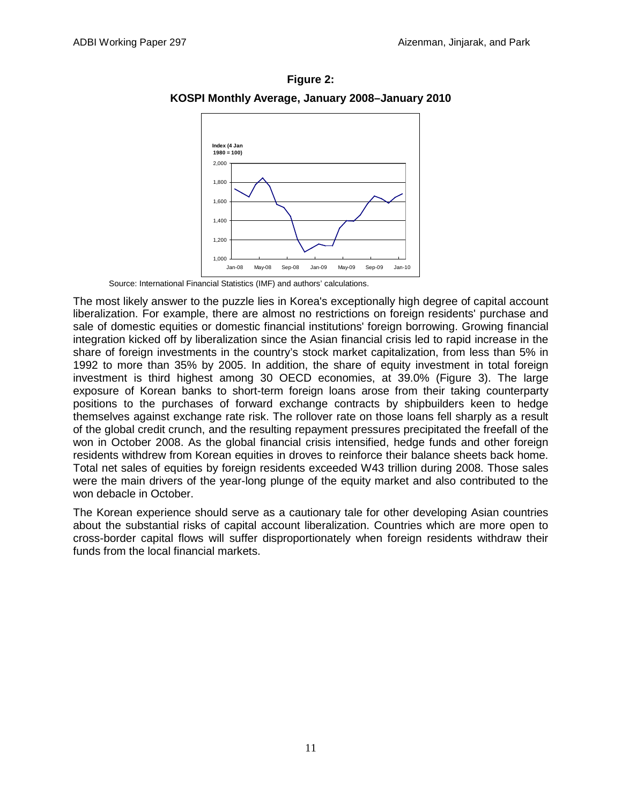

**Figure 2: KOSPI Monthly Average, January 2008–January 2010**

Source: International Financial Statistics (IMF) and authors' calculations.

The most likely answer to the puzzle lies in Korea's exceptionally high degree of capital account liberalization. For example, there are almost no restrictions on foreign residents' purchase and sale of domestic equities or domestic financial institutions' foreign borrowing. Growing financial integration kicked off by liberalization since the Asian financial crisis led to rapid increase in the share of foreign investments in the country's stock market capitalization, from less than 5% in 1992 to more than 35% by 2005. In addition, the share of equity investment in total foreign investment is third highest among 30 OECD economies, at 39.0% (Figure 3). The large exposure of Korean banks to short-term foreign loans arose from their taking counterparty positions to the purchases of forward exchange contracts by shipbuilders keen to hedge themselves against exchange rate risk. The rollover rate on those loans fell sharply as a result of the global credit crunch, and the resulting repayment pressures precipitated the freefall of the won in October 2008. As the global financial crisis intensified, hedge funds and other foreign residents withdrew from Korean equities in droves to reinforce their balance sheets back home. Total net sales of equities by foreign residents exceeded W43 trillion during 2008. Those sales were the main drivers of the year-long plunge of the equity market and also contributed to the won debacle in October.

The Korean experience should serve as a cautionary tale for other developing Asian countries about the substantial risks of capital account liberalization. Countries which are more open to cross-border capital flows will suffer disproportionately when foreign residents withdraw their funds from the local financial markets.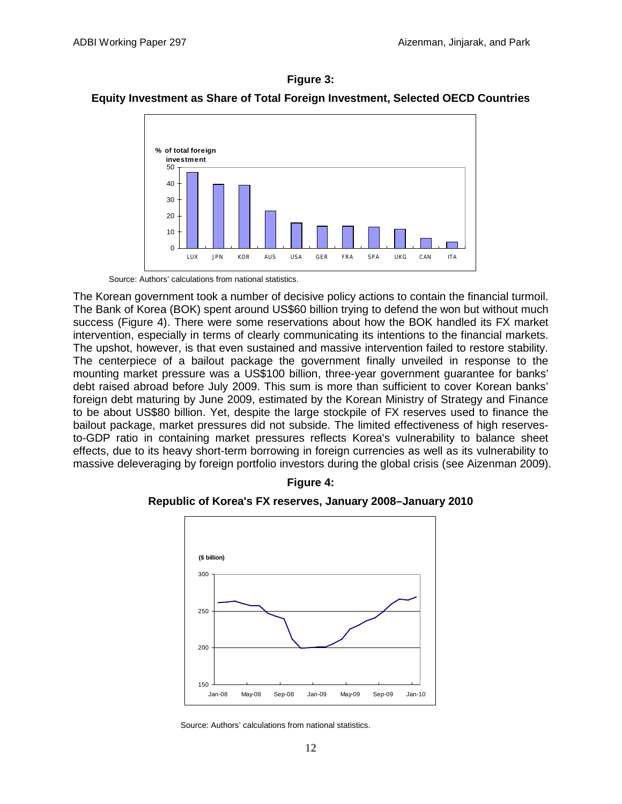

## **Figure 3: Equity Investment as Share of Total Foreign Investment, Selected OECD Countries**

Source: Authors' calculations from national statistics.

The Korean government took a number of decisive policy actions to contain the financial turmoil. The Bank of Korea (BOK) spent around US\$60 billion trying to defend the won but without much success (Figure 4). There were some reservations about how the BOK handled its FX market intervention, especially in terms of clearly communicating its intentions to the financial markets. The upshot, however, is that even sustained and massive intervention failed to restore stability. The centerpiece of a bailout package the government finally unveiled in response to the mounting market pressure was a US\$100 billion, three-year government guarantee for banks' debt raised abroad before July 2009. This sum is more than sufficient to cover Korean banks' foreign debt maturing by June 2009, estimated by the Korean Ministry of Strategy and Finance to be about US\$80 billion. Yet, despite the large stockpile of FX reserves used to finance the bailout package, market pressures did not subside. The limited effectiveness of high reservesto-GDP ratio in containing market pressures reflects Korea's vulnerability to balance sheet effects, due to its heavy short-term borrowing in foreign currencies as well as its vulnerability to massive deleveraging by foreign portfolio investors during the global crisis (see Aizenman 2009).



### **Figure 4: Republic of Korea's FX reserves, January 2008–January 2010**

Source: Authors' calculations from national statistics.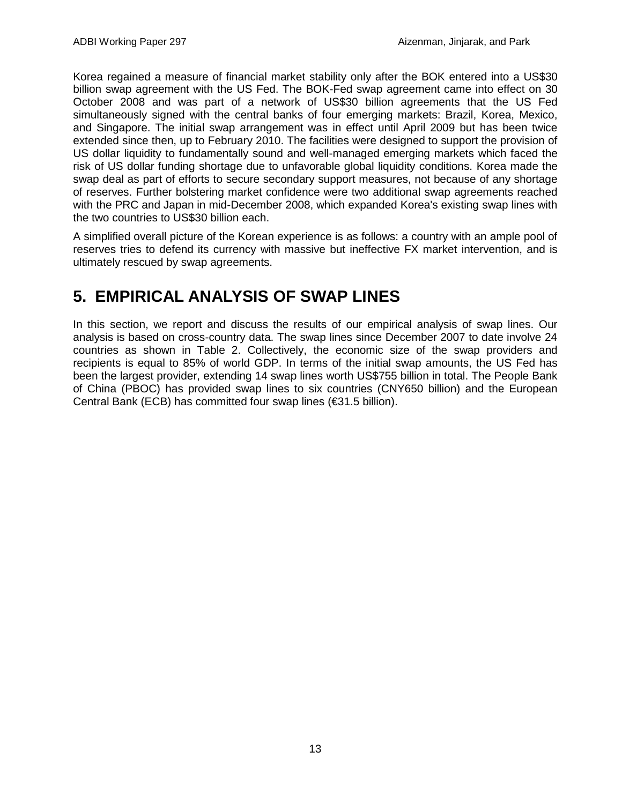Korea regained a measure of financial market stability only after the BOK entered into a US\$30 billion swap agreement with the US Fed. The BOK-Fed swap agreement came into effect on 30 October 2008 and was part of a network of US\$30 billion agreements that the US Fed simultaneously signed with the central banks of four emerging markets: Brazil, Korea, Mexico, and Singapore. The initial swap arrangement was in effect until April 2009 but has been twice extended since then, up to February 2010. The facilities were designed to support the provision of US dollar liquidity to fundamentally sound and well-managed emerging markets which faced the risk of US dollar funding shortage due to unfavorable global liquidity conditions. Korea made the swap deal as part of efforts to secure secondary support measures, not because of any shortage of reserves. Further bolstering market confidence were two additional swap agreements reached with the PRC and Japan in mid-December 2008, which expanded Korea's existing swap lines with the two countries to US\$30 billion each.

A simplified overall picture of the Korean experience is as follows: a country with an ample pool of reserves tries to defend its currency with massive but ineffective FX market intervention, and is ultimately rescued by swap agreements.

# **5. EMPIRICAL ANALYSIS OF SWAP LINES**

<span id="page-14-0"></span>In this section, we report and discuss the results of our empirical analysis of swap lines. Our analysis is based on cross-country data. The swap lines since December 2007 to date involve 24 countries as shown in Table 2. Collectively, the economic size of the swap providers and recipients is equal to 85% of world GDP. In terms of the initial swap amounts, the US Fed has been the largest provider, extending 14 swap lines worth US\$755 billion in total. The People Bank of China (PBOC) has provided swap lines to six countries (CNY650 billion) and the European Central Bank (ECB) has committed four swap lines (€31.5 billion).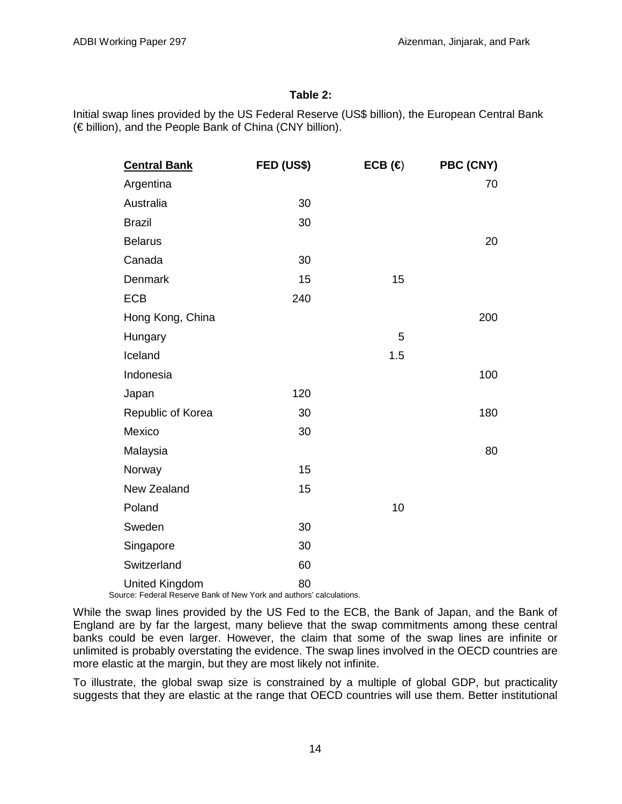### **Table 2:**

Initial swap lines provided by the US Federal Reserve (US\$ billion), the European Central Bank (€ billion), and the People Bank of China (CNY billion).

| <b>Central Bank</b>   | FED (US\$) | ECB $(\Leftrightarrow$ | PBC (CNY) |
|-----------------------|------------|------------------------|-----------|
| Argentina             |            |                        | 70        |
| Australia             | 30         |                        |           |
| <b>Brazil</b>         | 30         |                        |           |
| <b>Belarus</b>        |            |                        | 20        |
| Canada                | 30         |                        |           |
| Denmark               | 15         | 15                     |           |
| <b>ECB</b>            | 240        |                        |           |
| Hong Kong, China      |            |                        | 200       |
| Hungary               |            | 5                      |           |
| Iceland               |            | 1.5                    |           |
| Indonesia             |            |                        | 100       |
| Japan                 | 120        |                        |           |
| Republic of Korea     | 30         |                        | 180       |
| Mexico                | 30         |                        |           |
| Malaysia              |            |                        | 80        |
| Norway                | 15         |                        |           |
| New Zealand           | 15         |                        |           |
| Poland                |            | 10                     |           |
| Sweden                | 30         |                        |           |
| Singapore             | 30         |                        |           |
| Switzerland           | 60         |                        |           |
| <b>United Kingdom</b> | 80         |                        |           |

Source: Federal Reserve Bank of New York and authors' calculations.

While the swap lines provided by the US Fed to the ECB, the Bank of Japan, and the Bank of England are by far the largest, many believe that the swap commitments among these central banks could be even larger. However, the claim that some of the swap lines are infinite or unlimited is probably overstating the evidence. The swap lines involved in the OECD countries are more elastic at the margin, but they are most likely not infinite.

To illustrate, the global swap size is constrained by a multiple of global GDP, but practicality suggests that they are elastic at the range that OECD countries will use them. Better institutional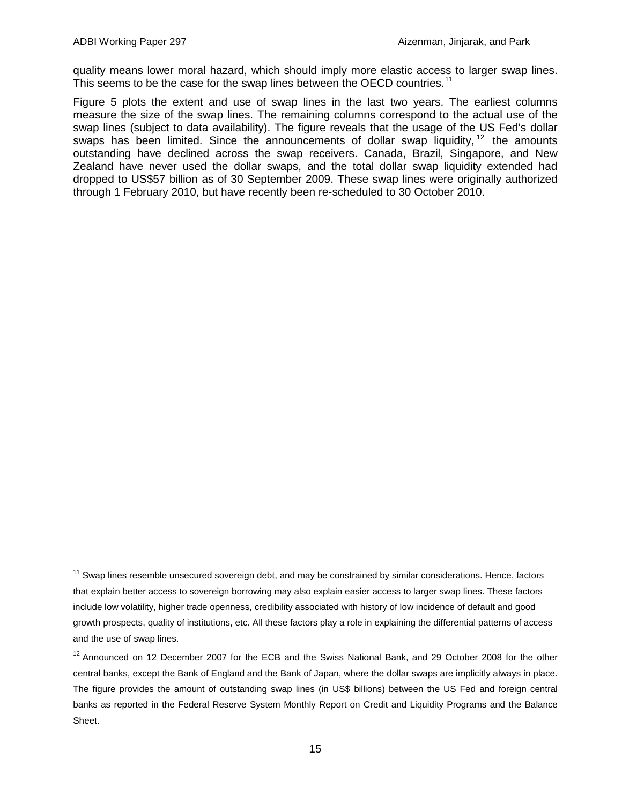$\overline{a}$ 

quality means lower moral hazard, which should imply more elastic access to larger swap lines. This seems to be the case for the swap lines between the OECD countries.<sup>[11](#page-16-0)</sup>

Figure 5 plots the extent and use of swap lines in the last two years. The earliest columns measure the size of the swap lines. The remaining columns correspond to the actual use of the swap lines (subject to data availability). The figure reveals that the usage of the US Fed's dollar swaps has been limited. Since the announcements of dollar swap liquidity,  $12$  the amounts outstanding have declined across the swap receivers. Canada, Brazil, Singapore, and New Zealand have never used the dollar swaps, and the total dollar swap liquidity extended had dropped to US\$57 billion as of 30 September 2009. These swap lines were originally authorized through 1 February 2010, but have recently been re-scheduled to 30 October 2010.

<span id="page-16-0"></span> $11$  Swap lines resemble unsecured sovereign debt, and may be constrained by similar considerations. Hence, factors that explain better access to sovereign borrowing may also explain easier access to larger swap lines. These factors include low volatility, higher trade openness, credibility associated with history of low incidence of default and good growth prospects, quality of institutions, etc. All these factors play a role in explaining the differential patterns of access and the use of swap lines.

<span id="page-16-1"></span><sup>&</sup>lt;sup>12</sup> Announced on 12 December 2007 for the ECB and the Swiss National Bank, and 29 October 2008 for the other central banks, except the Bank of England and the Bank of Japan, where the dollar swaps are implicitly always in place. The figure provides the amount of outstanding swap lines (in US\$ billions) between the US Fed and foreign central banks as reported in the Federal Reserve System Monthly Report on Credit and Liquidity Programs and the Balance Sheet.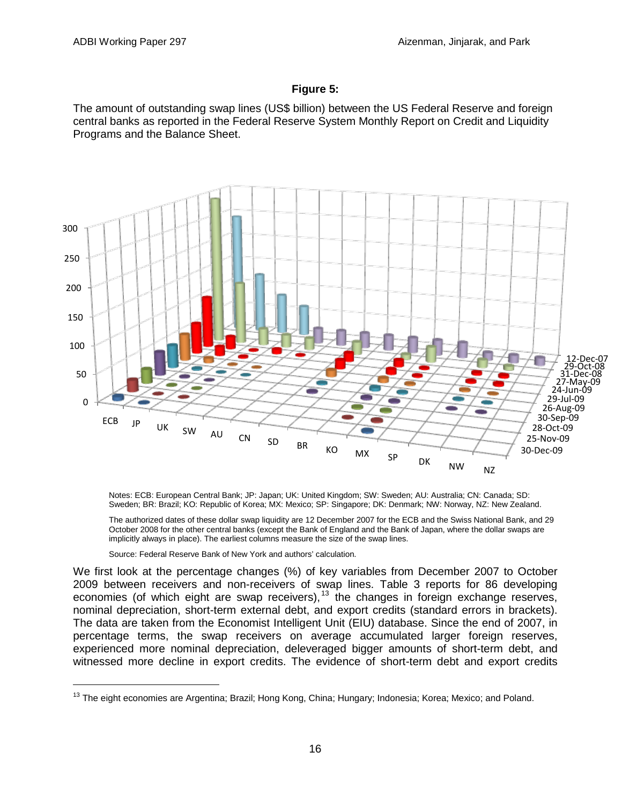### **Figure 5:**

The amount of outstanding swap lines (US\$ billion) between the US Federal Reserve and foreign central banks as reported in the Federal Reserve System Monthly Report on Credit and Liquidity Programs and the Balance Sheet.



Notes: ECB: European Central Bank; JP: Japan; UK: United Kingdom; SW: Sweden; AU: Australia; CN: Canada; SD: Sweden; BR: Brazil; KO: Republic of Korea; MX: Mexico; SP: Singapore; DK: Denmark; NW: Norway, NZ: New Zealand.

The authorized dates of these dollar swap liquidity are 12 December 2007 for the ECB and the Swiss National Bank, and 29 October 2008 for the other central banks (except the Bank of England and the Bank of Japan, where the dollar swaps are implicitly always in place). The earliest columns measure the size of the swap lines.

Source: Federal Reserve Bank of New York and authors' calculation.

We first look at the percentage changes (%) of key variables from December 2007 to October 2009 between receivers and non-receivers of swap lines. Table 3 reports for 86 developing economies (of which eight are swap receivers), $^{13}$  $^{13}$  $^{13}$  the changes in foreign exchange reserves, nominal depreciation, short-term external debt, and export credits (standard errors in brackets). The data are taken from the Economist Intelligent Unit (EIU) database. Since the end of 2007, in percentage terms, the swap receivers on average accumulated larger foreign reserves, experienced more nominal depreciation, deleveraged bigger amounts of short-term debt, and witnessed more decline in export credits. The evidence of short-term debt and export credits

<span id="page-17-0"></span><sup>&</sup>lt;sup>13</sup> The eight economies are Argentina; Brazil; Hong Kong, China; Hungary; Indonesia; Korea; Mexico; and Poland.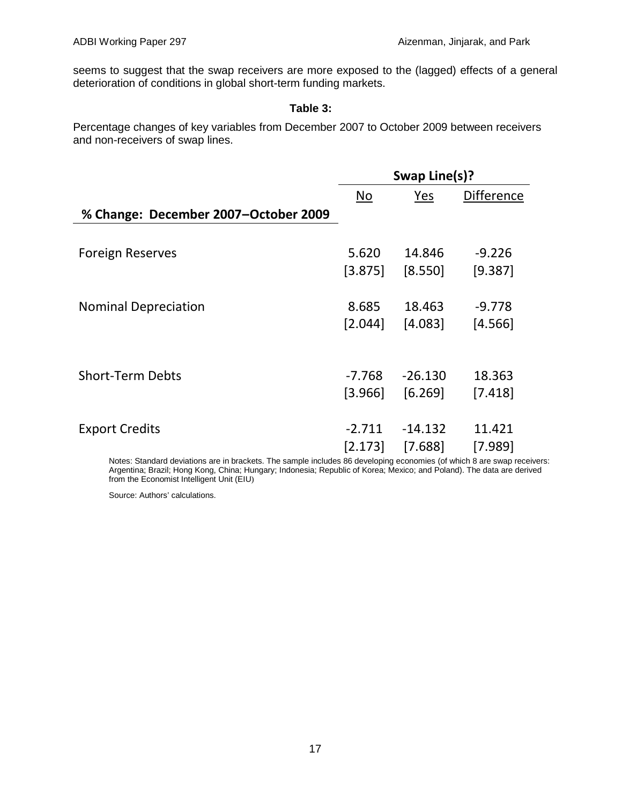seems to suggest that the swap receivers are more exposed to the (lagged) effects of a general deterioration of conditions in global short-term funding markets.

### **Table 3:**

Percentage changes of key variables from December 2007 to October 2009 between receivers and non-receivers of swap lines.

|                                      | Swap Line(s)? |           |                   |  |
|--------------------------------------|---------------|-----------|-------------------|--|
|                                      | No            | Yes       | <b>Difference</b> |  |
| % Change: December 2007-October 2009 |               |           |                   |  |
|                                      |               |           |                   |  |
| <b>Foreign Reserves</b>              | 5.620         | 14.846    | $-9.226$          |  |
|                                      | $[3.875]$     | [8.550]   | [9.387]           |  |
|                                      |               |           |                   |  |
| <b>Nominal Depreciation</b>          | 8.685         | 18.463    | $-9.778$          |  |
|                                      | [2.044]       | [4.083]   | [4.566]           |  |
|                                      |               |           |                   |  |
|                                      |               |           |                   |  |
| <b>Short-Term Debts</b>              | -7.768        | $-26.130$ | 18.363            |  |
|                                      | [3.966]       | [6.269]   | [7.418]           |  |
|                                      |               |           |                   |  |
| <b>Export Credits</b>                | $-2.711$      | $-14.132$ | 11.421            |  |
|                                      | [2.173]       | [7.688]   | [7.989]           |  |

Notes: Standard deviations are in brackets. The sample includes 86 developing economies (of which 8 are swap receivers: Argentina; Brazil; Hong Kong, China; Hungary; Indonesia; Republic of Korea; Mexico; and Poland). The data are derived from the Economist Intelligent Unit (EIU)

Source: Authors' calculations.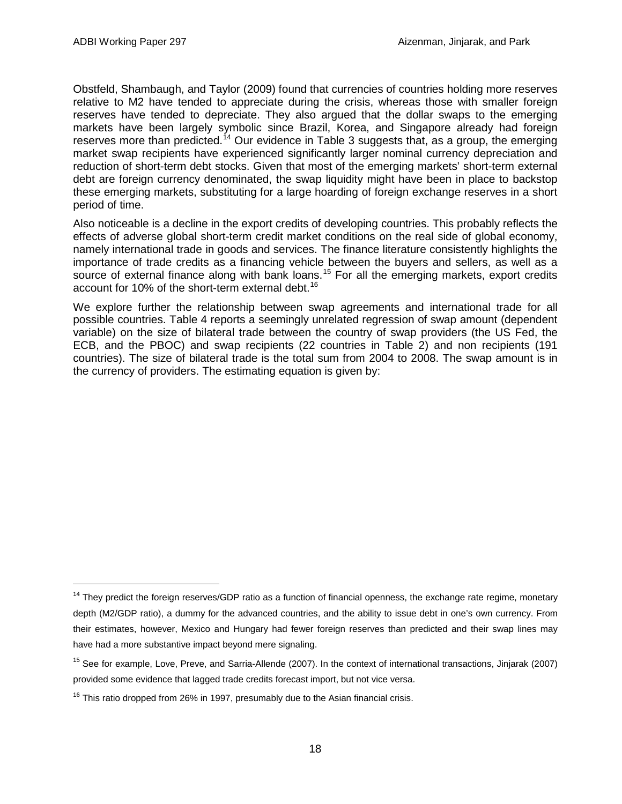Obstfeld, Shambaugh, and Taylor (2009) found that currencies of countries holding more reserves relative to M2 have tended to appreciate during the crisis, whereas those with smaller foreign reserves have tended to depreciate. They also argued that the dollar swaps to the emerging markets have been largely symbolic since Brazil, Korea, and Singapore already had foreign reserves more than predicted.<sup>[14](#page-19-0)</sup> Our evidence in Table 3 suggests that, as a group, the emerging market swap recipients have experienced significantly larger nominal currency depreciation and reduction of short-term debt stocks. Given that most of the emerging markets' short-term external debt are foreign currency denominated, the swap liquidity might have been in place to backstop these emerging markets, substituting for a large hoarding of foreign exchange reserves in a short period of time.

Also noticeable is a decline in the export credits of developing countries. This probably reflects the effects of adverse global short-term credit market conditions on the real side of global economy, namely international trade in goods and services. The finance literature consistently highlights the importance of trade credits as a financing vehicle between the buyers and sellers, as well as a source of external finance along with bank loans.<sup>[15](#page-19-1)</sup> For all the emerging markets, export credits account for 10% of the short-term external debt.<sup>[16](#page-19-2)</sup>

We explore further the relationship between swap agreements and international trade for all possible countries. Table 4 reports a seemingly unrelated regression of swap amount (dependent variable) on the size of bilateral trade between the country of swap providers (the US Fed, the ECB, and the PBOC) and swap recipients (22 countries in Table 2) and non recipients (191 countries). The size of bilateral trade is the total sum from 2004 to 2008. The swap amount is in the currency of providers. The estimating equation is given by:

<span id="page-19-0"></span> $14$  They predict the foreign reserves/GDP ratio as a function of financial openness, the exchange rate regime, monetary depth (M2/GDP ratio), a dummy for the advanced countries, and the ability to issue debt in one's own currency. From their estimates, however, Mexico and Hungary had fewer foreign reserves than predicted and their swap lines may have had a more substantive impact beyond mere signaling.

<span id="page-19-1"></span><sup>&</sup>lt;sup>15</sup> See for example, Love, Preve, and Sarria-Allende (2007). In the context of international transactions, Jinjarak (2007) provided some evidence that lagged trade credits forecast import, but not vice versa.

<span id="page-19-2"></span> $16$  This ratio dropped from 26% in 1997, presumably due to the Asian financial crisis.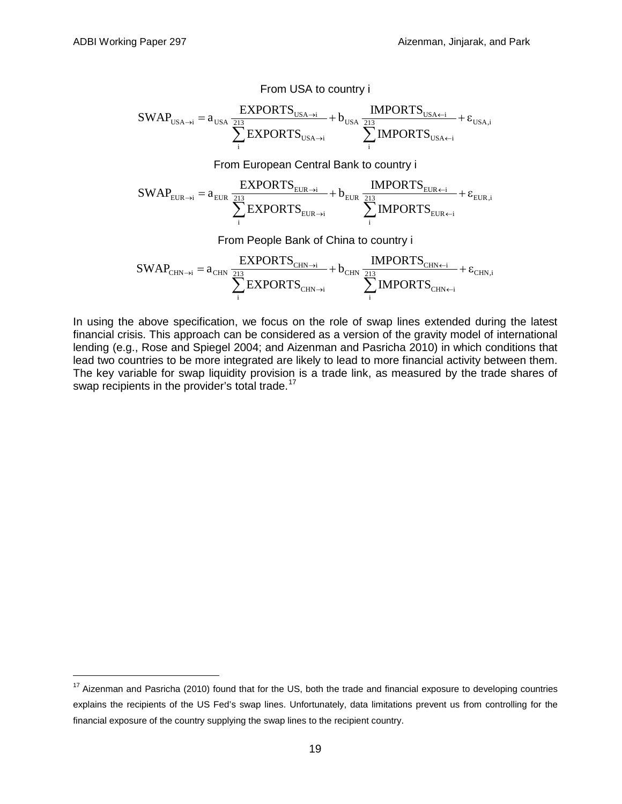$$
SWAP_{USA\rightarrow i} = a_{USA} \frac{EXPORTS_{USA\rightarrow i}}{\sum_{i}^{213} EXPORTS_{USA\rightarrow i}} + b_{USA} \frac{IMPORTS_{USA\leftarrow i}}{\sum_{i}^{213} IMPORTS_{USA\leftarrow i}} + \epsilon_{USA,i}
$$

From USA to country i

From European Central Bank to country i

$$
SWAP_{\text{EUR}\to i} = a_{\text{EUR}}\frac{EXPORTS_{\text{EUR}\to i}}{\sum\limits_{i}^{213}\text{EXPORTS}_{\text{EUR}\to i}} + b_{\text{EUR}}\frac{IMPORTS_{\text{EUR}\leftarrow i}}{\sum\limits_{i}^{213}\text{IMPORTS}_{\text{EUR}\leftarrow i}} + \epsilon_{\text{EUR},i}
$$

From People Bank of China to country i

$$
SWAP_{\text{CHN} \rightarrow i} = a_{\text{CHN}} \frac{EXPORTS_{\text{CHN} \rightarrow i}}{\sum\limits_{i}^{213} EXPORTS_{\text{CHN} \rightarrow i}} + b_{\text{CHN}} \frac{IMPORTS_{\text{CHN} \leftarrow i}}{\sum\limits_{i}^{213} IMPORTS_{\text{CHN} \leftarrow i}} + \epsilon_{\text{CHN},i}
$$

In using the above specification, we focus on the role of swap lines extended during the latest financial crisis. This approach can be considered as a version of the gravity model of international lending (e.g., Rose and Spiegel 2004; and Aizenman and Pasricha 2010) in which conditions that lead two countries to be more integrated are likely to lead to more financial activity between them. The key variable for swap liquidity provision is a trade link, as measured by the trade shares of swap recipients in the provider's total trade.<sup>[17](#page-20-0)</sup>

<span id="page-20-0"></span><sup>&</sup>lt;sup>17</sup> Aizenman and Pasricha (2010) found that for the US, both the trade and financial exposure to developing countries explains the recipients of the US Fed's swap lines. Unfortunately, data limitations prevent us from controlling for the financial exposure of the country supplying the swap lines to the recipient country.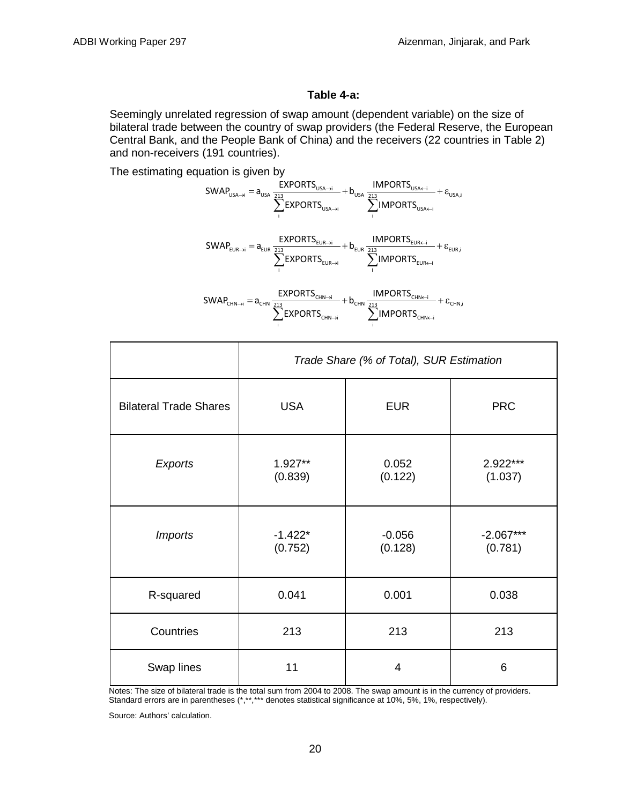### **Table 4-a:**

Seemingly unrelated regression of swap amount (dependent variable) on the size of bilateral trade between the country of swap providers (the Federal Reserve, the European Central Bank, and the People Bank of China) and the receivers (22 countries in Table 2) and non-receivers (191 countries).

The estimating equation is given by

$$
SWAP_{\text{USA}\rightarrow i} = a_{\text{USA}} \frac{\text{EXPORTS}_{\text{USA}\rightarrow i}}{\sum_{i}^{213} \text{EXPORTS}_{\text{USA}\rightarrow i}} + b_{\text{USA}} \frac{\text{IMPORTS}_{\text{USA}\leftarrow i}}{\sum_{i}^{213} \text{IMPORTS}_{\text{USA}\leftarrow i}} + \epsilon_{\text{USA},i}
$$
\n
$$
SWAP_{\text{EUR}\rightarrow i} = a_{\text{EUR}} \frac{\text{EXPORTS}_{\text{EUR}\rightarrow i}}{\sum_{i}^{213} \text{EXPORTS}_{\text{EUR}\rightarrow i}} + b_{\text{EUR}} \frac{\text{IMPORTS}_{\text{EUR}\leftarrow i}}{\sum_{i}^{213} \text{IMPORTS}_{\text{EUR}\leftarrow i}} + \epsilon_{\text{EUR},i}
$$
\n
$$
SWAP_{\text{CHN}\rightarrow i} = a_{\text{CHN}} \frac{\text{EXPORTS}_{\text{CHN}\rightarrow i}}{\sum_{i}^{213} \text{EXPORTS}_{\text{CHN}\rightarrow i}} + b_{\text{CHN}} \frac{\text{IMPORTS}_{\text{CHN}\leftarrow i}}{\sum_{i}^{213} \text{IMPORTS}_{\text{CHN}\leftarrow i}} + \epsilon_{\text{CHN},i}
$$
\n
$$
\sum_{i}^{213} \text{EXPORTS}_{\text{CHN}\rightarrow i} + b_{\text{CHN}} \frac{\text{IMPORTS}_{\text{CHN}\leftarrow i}}{\sum_{i}^{213} \text{IMPORTS}_{\text{CHN}\leftarrow i}} + \epsilon_{\text{CHN},i}
$$

 $\rightarrow$   $\angle$   $\blacksquare$ 

 $\sum_{i}$   $\sum_{i}$  ivir  $\sum_{i}$  introduced in  $\sum_{i}$ 

 $EXPORTS_{CHN-1}$   $\sum$  IMPORTS

|                               | Trade Share (% of Total), SUR Estimation |                     |                        |  |  |  |
|-------------------------------|------------------------------------------|---------------------|------------------------|--|--|--|
| <b>Bilateral Trade Shares</b> | <b>USA</b>                               | <b>EUR</b>          | <b>PRC</b>             |  |  |  |
| Exports                       | $1.927**$<br>(0.839)                     | 0.052<br>(0.122)    | 2.922***<br>(1.037)    |  |  |  |
| <b>Imports</b>                | $-1.422*$<br>(0.752)                     | $-0.056$<br>(0.128) | $-2.067***$<br>(0.781) |  |  |  |
| R-squared                     | 0.041                                    | 0.001               | 0.038                  |  |  |  |
| Countries                     | 213                                      | 213                 | 213                    |  |  |  |
| Swap lines                    | 11                                       | 4                   | 6                      |  |  |  |

Notes: The size of bilateral trade is the total sum from 2004 to 2008. The swap amount is in the currency of providers. Standard errors are in parentheses (\*,\*\*,\*\*\* denotes statistical significance at 10%, 5%, 1%, respectively).

Source: Authors' calculation.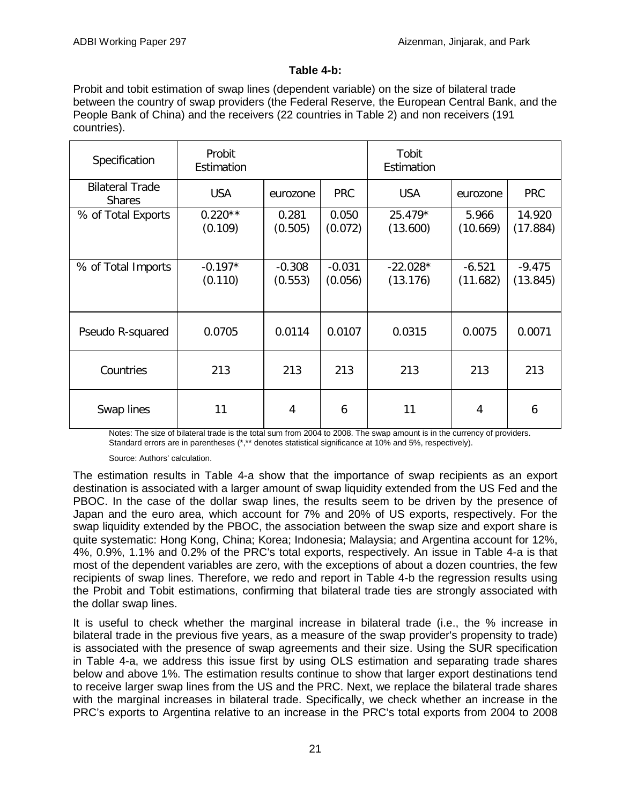#### **Table 4-b:**

Probit and tobit estimation of swap lines (dependent variable) on the size of bilateral trade between the country of swap providers (the Federal Reserve, the European Central Bank, and the People Bank of China) and the receivers (22 countries in Table 2) and non receivers (191 countries).

| Specification                           | Probit<br>Estimation |                     |                     | Tobit<br>Estimation    |                      |                      |
|-----------------------------------------|----------------------|---------------------|---------------------|------------------------|----------------------|----------------------|
| <b>Bilateral Trade</b><br><b>Shares</b> | <b>USA</b>           | eurozone            | <b>PRC</b>          | <b>USA</b>             | eurozone             | <b>PRC</b>           |
| % of Total Exports                      | $0.220**$<br>(0.109) | 0.281<br>(0.505)    | 0.050<br>(0.072)    | $25.479*$<br>(13.600)  | 5.966<br>(10.669)    | 14.920<br>(17.884)   |
| % of Total Imports                      | $-0.197*$<br>(0.110) | $-0.308$<br>(0.553) | $-0.031$<br>(0.056) | $-22.028*$<br>(13.176) | $-6.521$<br>(11.682) | $-9.475$<br>(13.845) |
| Pseudo R-squared                        | 0.0705               | 0.0114              | 0.0107              | 0.0315                 | 0.0075               | 0.0071               |
| Countries                               | 213                  | 213                 | 213                 | 213                    | 213                  | 213                  |
| Swap lines                              | 11                   | 4                   | 6                   | 11                     | 4                    | 6                    |

Notes: The size of bilateral trade is the total sum from 2004 to 2008. The swap amount is in the currency of providers. Standard errors are in parentheses (\*,\*\* denotes statistical significance at 10% and 5%, respectively).

#### Source: Authors' calculation.

The estimation results in Table 4-a show that the importance of swap recipients as an export destination is associated with a larger amount of swap liquidity extended from the US Fed and the PBOC. In the case of the dollar swap lines, the results seem to be driven by the presence of Japan and the euro area, which account for 7% and 20% of US exports, respectively. For the swap liquidity extended by the PBOC, the association between the swap size and export share is quite systematic: Hong Kong, China; Korea; Indonesia; Malaysia; and Argentina account for 12%, 4%, 0.9%, 1.1% and 0.2% of the PRC's total exports, respectively. An issue in Table 4-a is that most of the dependent variables are zero, with the exceptions of about a dozen countries, the few recipients of swap lines. Therefore, we redo and report in Table 4-b the regression results using the Probit and Tobit estimations, confirming that bilateral trade ties are strongly associated with the dollar swap lines.

It is useful to check whether the marginal increase in bilateral trade (i.e., the % increase in bilateral trade in the previous five years, as a measure of the swap provider's propensity to trade) is associated with the presence of swap agreements and their size. Using the SUR specification in Table 4-a, we address this issue first by using OLS estimation and separating trade shares below and above 1%. The estimation results continue to show that larger export destinations tend to receive larger swap lines from the US and the PRC. Next, we replace the bilateral trade shares with the marginal increases in bilateral trade. Specifically, we check whether an increase in the PRC's exports to Argentina relative to an increase in the PRC's total exports from 2004 to 2008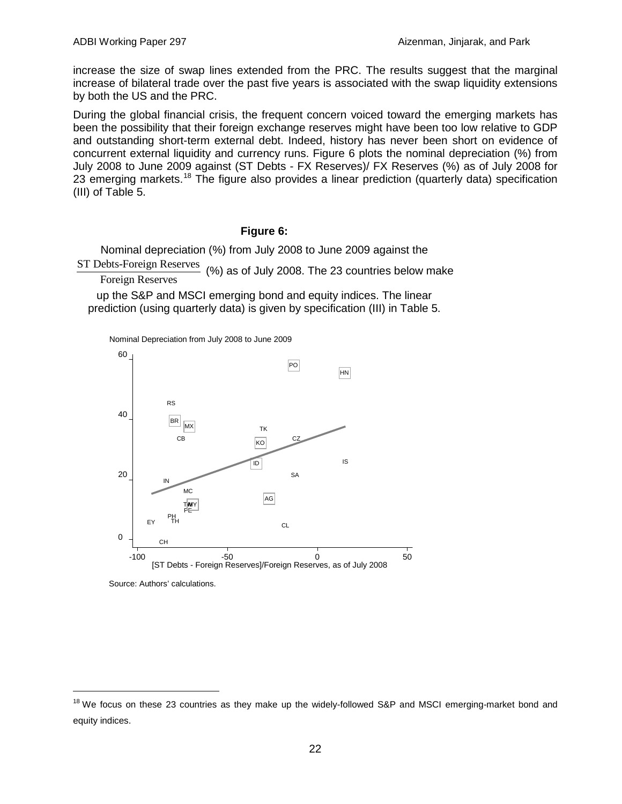increase the size of swap lines extended from the PRC. The results suggest that the marginal increase of bilateral trade over the past five years is associated with the swap liquidity extensions by both the US and the PRC.

During the global financial crisis, the frequent concern voiced toward the emerging markets has been the possibility that their foreign exchange reserves might have been too low relative to GDP and outstanding short-term external debt. Indeed, history has never been short on evidence of concurrent external liquidity and currency runs. Figure 6 plots the nominal depreciation (%) from July 2008 to June 2009 against (ST Debts - FX Reserves)/ FX Reserves (%) as of July 2008 for 23 emerging markets.<sup>[18](#page-23-0)</sup> The figure also provides a linear prediction (quarterly data) specification (III) of Table 5.

#### **Figure 6:**

Nominal depreciation (%) from July 2008 to June 2009 against the

ST Debts-Foreign Reserves Foreign Reserves (%) as of July 2008. The 23 countries below make

up the S&P and MSCI emerging bond and equity indices. The linear prediction (using quarterly data) is given by specification (III) in Table 5.

Nominal Depreciation from July 2008 to June 2009



Source: Authors' calculations.

<span id="page-23-0"></span><sup>&</sup>lt;sup>18</sup> We focus on these 23 countries as they make up the widely-followed S&P and MSCI emerging-market bond and equity indices.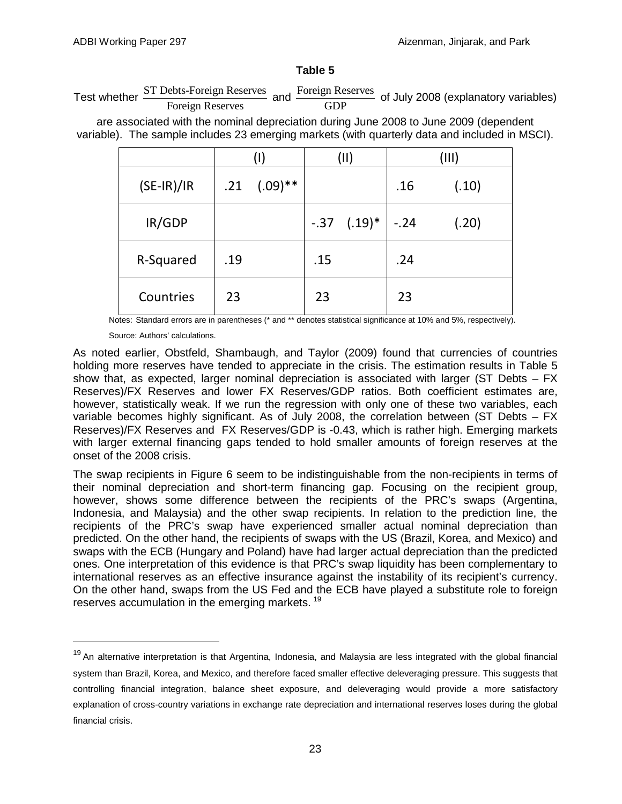#### **Table 5**

Test whether  $\frac{\text{STت} \text{Debts-Foreign Reserves}}{\text{Foreign Reserves}}$  and  $\frac{\text{Foreign Reserves}}{\text{GDP}}$  of July 2008 (explanatory variables) Foreign Reserves

are associated with the nominal depreciation during June 2008 to June 2009 (dependent variable). The sample includes 23 emerging markets (with quarterly data and included in MSCI).

|              | (I) |              | (II) |                         | (III) |       |
|--------------|-----|--------------|------|-------------------------|-------|-------|
| $(SE-IR)/IR$ | .21 | $(.09)^{**}$ |      |                         | .16   | (.10) |
| IR/GDP       |     |              |      | $-.37$ $(.19)^*$ $-.24$ |       | (.20) |
| R-Squared    | .19 |              | .15  |                         | .24   |       |
| Countries    | 23  |              | 23   |                         | 23    |       |

Notes: Standard errors are in parentheses (\* and \*\* denotes statistical significance at 10% and 5%, respectively).

Source: Authors' calculations.

As noted earlier, Obstfeld, Shambaugh, and Taylor (2009) found that currencies of countries holding more reserves have tended to appreciate in the crisis. The estimation results in Table 5 show that, as expected, larger nominal depreciation is associated with larger (ST Debts – FX Reserves)/FX Reserves and lower FX Reserves/GDP ratios. Both coefficient estimates are, however, statistically weak. If we run the regression with only one of these two variables, each variable becomes highly significant. As of July 2008, the correlation between (ST Debts – FX Reserves)/FX Reserves and FX Reserves/GDP is -0.43, which is rather high. Emerging markets with larger external financing gaps tended to hold smaller amounts of foreign reserves at the onset of the 2008 crisis.

The swap recipients in Figure 6 seem to be indistinguishable from the non-recipients in terms of their nominal depreciation and short-term financing gap. Focusing on the recipient group, however, shows some difference between the recipients of the PRC's swaps (Argentina, Indonesia, and Malaysia) and the other swap recipients. In relation to the prediction line, the recipients of the PRC's swap have experienced smaller actual nominal depreciation than predicted. On the other hand, the recipients of swaps with the US (Brazil, Korea, and Mexico) and swaps with the ECB (Hungary and Poland) have had larger actual depreciation than the predicted ones. One interpretation of this evidence is that PRC's swap liquidity has been complementary to international reserves as an effective insurance against the instability of its recipient's currency. On the other hand, swaps from the US Fed and the ECB have played a substitute role to foreign reserves accumulation in the emerging markets.<sup>[19](#page-24-0)</sup>

<span id="page-24-0"></span><sup>&</sup>lt;sup>19</sup> An alternative interpretation is that Argentina, Indonesia, and Malaysia are less integrated with the global financial system than Brazil, Korea, and Mexico, and therefore faced smaller effective deleveraging pressure. This suggests that controlling financial integration, balance sheet exposure, and deleveraging would provide a more satisfactory explanation of cross-country variations in exchange rate depreciation and international reserves loses during the global financial crisis.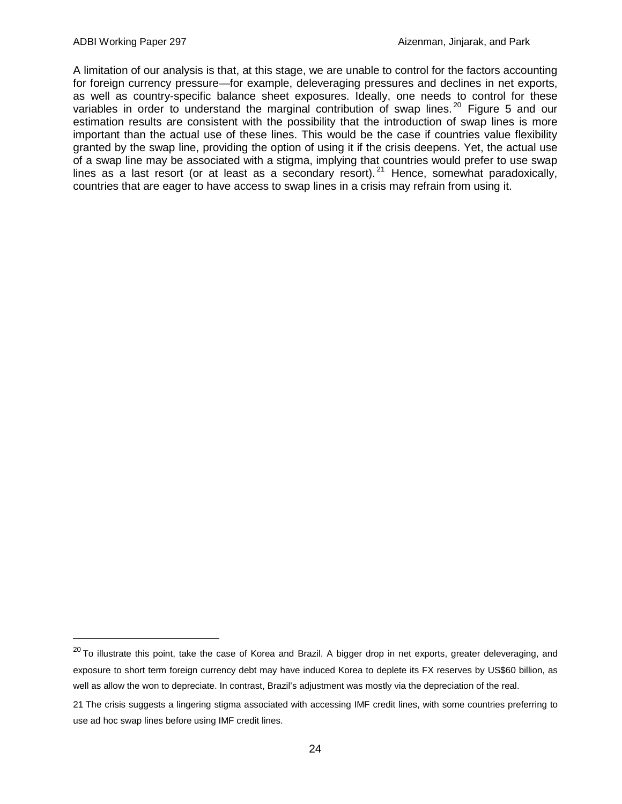A limitation of our analysis is that, at this stage, we are unable to control for the factors accounting for foreign currency pressure—for example, deleveraging pressures and declines in net exports, as well as country-specific balance sheet exposures. Ideally, one needs to control for these variables in order to understand the marginal contribution of swap lines.<sup>[20](#page-25-0)</sup> Figure 5 and our estimation results are consistent with the possibility that the introduction of swap lines is more important than the actual use of these lines. This would be the case if countries value flexibility granted by the swap line, providing the option of using it if the crisis deepens. Yet, the actual use of a swap line may be associated with a stigma, implying that countries would prefer to use swap lines as a last resort (or at least as a secondary resort). <sup>[21](#page-25-1)</sup> Hence, somewhat paradoxically, countries that are eager to have access to swap lines in a crisis may refrain from using it.

<span id="page-25-0"></span> $20$  To illustrate this point, take the case of Korea and Brazil. A bigger drop in net exports, greater deleveraging, and exposure to short term foreign currency debt may have induced Korea to deplete its FX reserves by US\$60 billion, as well as allow the won to depreciate. In contrast, Brazil's adjustment was mostly via the depreciation of the real.

<span id="page-25-1"></span><sup>21</sup> The crisis suggests a lingering stigma associated with accessing IMF credit lines, with some countries preferring to use ad hoc swap lines before using IMF credit lines.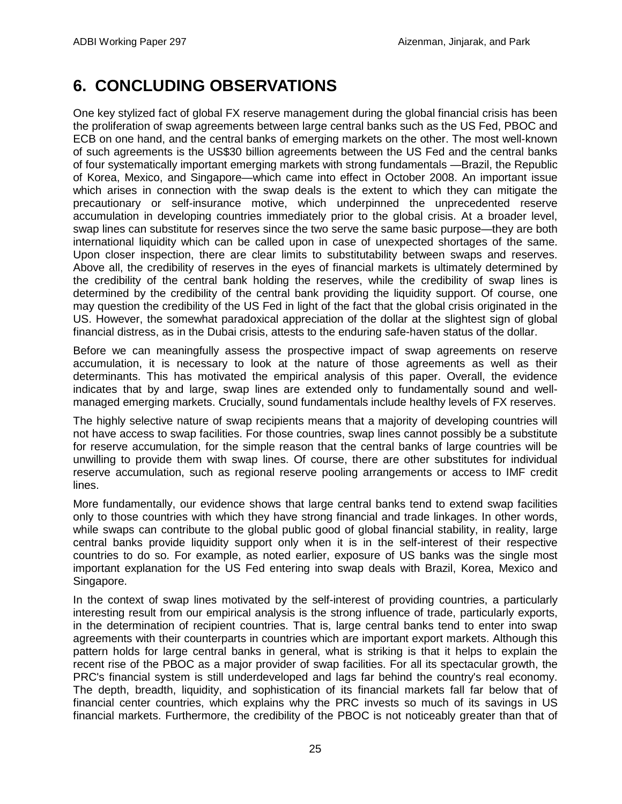# **6. CONCLUDING OBSERVATIONS**

<span id="page-26-0"></span>One key stylized fact of global FX reserve management during the global financial crisis has been the proliferation of swap agreements between large central banks such as the US Fed, PBOC and ECB on one hand, and the central banks of emerging markets on the other. The most well-known of such agreements is the US\$30 billion agreements between the US Fed and the central banks of four systematically important emerging markets with strong fundamentals —Brazil, the Republic of Korea, Mexico, and Singapore—which came into effect in October 2008. An important issue which arises in connection with the swap deals is the extent to which they can mitigate the precautionary or self-insurance motive, which underpinned the unprecedented reserve accumulation in developing countries immediately prior to the global crisis. At a broader level, swap lines can substitute for reserves since the two serve the same basic purpose—they are both international liquidity which can be called upon in case of unexpected shortages of the same. Upon closer inspection, there are clear limits to substitutability between swaps and reserves. Above all, the credibility of reserves in the eyes of financial markets is ultimately determined by the credibility of the central bank holding the reserves, while the credibility of swap lines is determined by the credibility of the central bank providing the liquidity support. Of course, one may question the credibility of the US Fed in light of the fact that the global crisis originated in the US. However, the somewhat paradoxical appreciation of the dollar at the slightest sign of global financial distress, as in the Dubai crisis, attests to the enduring safe-haven status of the dollar.

Before we can meaningfully assess the prospective impact of swap agreements on reserve accumulation, it is necessary to look at the nature of those agreements as well as their determinants. This has motivated the empirical analysis of this paper. Overall, the evidence indicates that by and large, swap lines are extended only to fundamentally sound and wellmanaged emerging markets. Crucially, sound fundamentals include healthy levels of FX reserves.

The highly selective nature of swap recipients means that a majority of developing countries will not have access to swap facilities. For those countries, swap lines cannot possibly be a substitute for reserve accumulation, for the simple reason that the central banks of large countries will be unwilling to provide them with swap lines. Of course, there are other substitutes for individual reserve accumulation, such as regional reserve pooling arrangements or access to IMF credit lines.

More fundamentally, our evidence shows that large central banks tend to extend swap facilities only to those countries with which they have strong financial and trade linkages. In other words, while swaps can contribute to the global public good of global financial stability, in reality, large central banks provide liquidity support only when it is in the self-interest of their respective countries to do so. For example, as noted earlier, exposure of US banks was the single most important explanation for the US Fed entering into swap deals with Brazil, Korea, Mexico and Singapore.

In the context of swap lines motivated by the self-interest of providing countries, a particularly interesting result from our empirical analysis is the strong influence of trade, particularly exports, in the determination of recipient countries. That is, large central banks tend to enter into swap agreements with their counterparts in countries which are important export markets. Although this pattern holds for large central banks in general, what is striking is that it helps to explain the recent rise of the PBOC as a major provider of swap facilities. For all its spectacular growth, the PRC's financial system is still underdeveloped and lags far behind the country's real economy. The depth, breadth, liquidity, and sophistication of its financial markets fall far below that of financial center countries, which explains why the PRC invests so much of its savings in US financial markets. Furthermore, the credibility of the PBOC is not noticeably greater than that of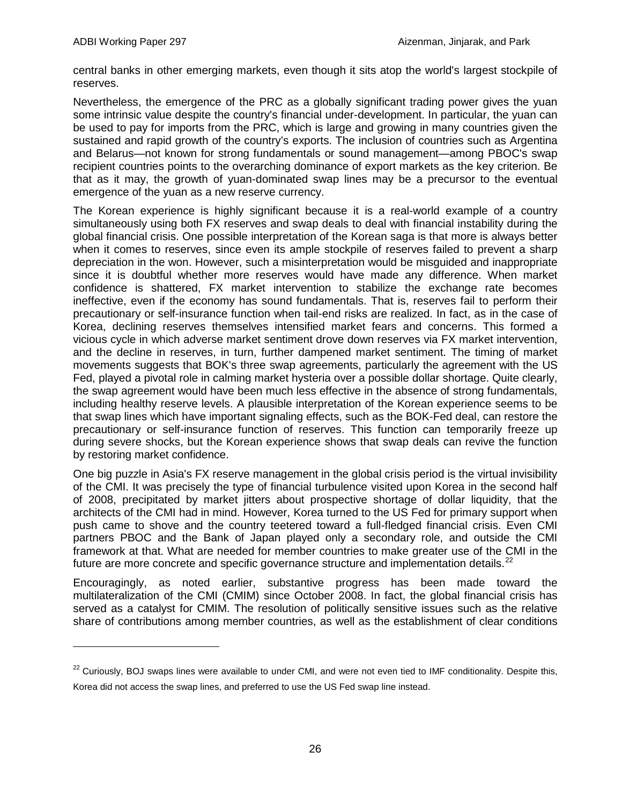-

central banks in other emerging markets, even though it sits atop the world's largest stockpile of reserves.

Nevertheless, the emergence of the PRC as a globally significant trading power gives the yuan some intrinsic value despite the country's financial under-development. In particular, the yuan can be used to pay for imports from the PRC, which is large and growing in many countries given the sustained and rapid growth of the country's exports. The inclusion of countries such as Argentina and Belarus—not known for strong fundamentals or sound management—among PBOC's swap recipient countries points to the overarching dominance of export markets as the key criterion. Be that as it may, the growth of yuan-dominated swap lines may be a precursor to the eventual emergence of the yuan as a new reserve currency.

The Korean experience is highly significant because it is a real-world example of a country simultaneously using both FX reserves and swap deals to deal with financial instability during the global financial crisis. One possible interpretation of the Korean saga is that more is always better when it comes to reserves, since even its ample stockpile of reserves failed to prevent a sharp depreciation in the won. However, such a misinterpretation would be misguided and inappropriate since it is doubtful whether more reserves would have made any difference. When market confidence is shattered, FX market intervention to stabilize the exchange rate becomes ineffective, even if the economy has sound fundamentals. That is, reserves fail to perform their precautionary or self-insurance function when tail-end risks are realized. In fact, as in the case of Korea, declining reserves themselves intensified market fears and concerns. This formed a vicious cycle in which adverse market sentiment drove down reserves via FX market intervention, and the decline in reserves, in turn, further dampened market sentiment. The timing of market movements suggests that BOK's three swap agreements, particularly the agreement with the US Fed, played a pivotal role in calming market hysteria over a possible dollar shortage. Quite clearly, the swap agreement would have been much less effective in the absence of strong fundamentals, including healthy reserve levels. A plausible interpretation of the Korean experience seems to be that swap lines which have important signaling effects, such as the BOK-Fed deal, can restore the precautionary or self-insurance function of reserves. This function can temporarily freeze up during severe shocks, but the Korean experience shows that swap deals can revive the function by restoring market confidence.

One big puzzle in Asia's FX reserve management in the global crisis period is the virtual invisibility of the CMI. It was precisely the type of financial turbulence visited upon Korea in the second half of 2008, precipitated by market jitters about prospective shortage of dollar liquidity, that the architects of the CMI had in mind. However, Korea turned to the US Fed for primary support when push came to shove and the country teetered toward a full-fledged financial crisis. Even CMI partners PBOC and the Bank of Japan played only a secondary role, and outside the CMI framework at that. What are needed for member countries to make greater use of the CMI in the future are more concrete and specific governance structure and implementation details. $^{22}$  $^{22}$  $^{22}$ 

Encouragingly, as noted earlier, substantive progress has been made toward the multilateralization of the CMI (CMIM) since October 2008. In fact, the global financial crisis has served as a catalyst for CMIM. The resolution of politically sensitive issues such as the relative share of contributions among member countries, as well as the establishment of clear conditions

<span id="page-27-0"></span><sup>&</sup>lt;sup>22</sup> Curiously, BOJ swaps lines were available to under CMI, and were not even tied to IMF conditionality. Despite this, Korea did not access the swap lines, and preferred to use the US Fed swap line instead.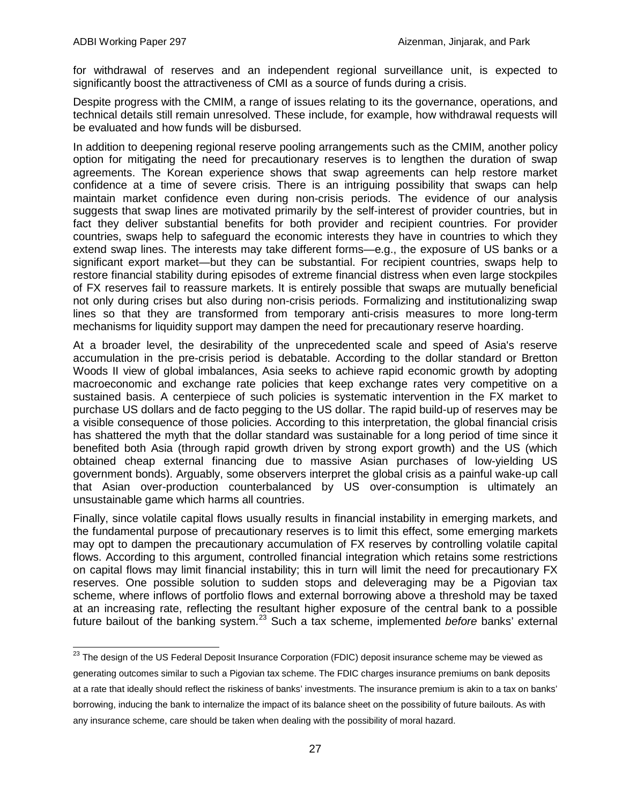for withdrawal of reserves and an independent regional surveillance unit, is expected to significantly boost the attractiveness of CMI as a source of funds during a crisis.

Despite progress with the CMIM, a range of issues relating to its the governance, operations, and technical details still remain unresolved. These include, for example, how withdrawal requests will be evaluated and how funds will be disbursed.

In addition to deepening regional reserve pooling arrangements such as the CMIM, another policy option for mitigating the need for precautionary reserves is to lengthen the duration of swap agreements. The Korean experience shows that swap agreements can help restore market confidence at a time of severe crisis. There is an intriguing possibility that swaps can help maintain market confidence even during non-crisis periods. The evidence of our analysis suggests that swap lines are motivated primarily by the self-interest of provider countries, but in fact they deliver substantial benefits for both provider and recipient countries. For provider countries, swaps help to safeguard the economic interests they have in countries to which they extend swap lines. The interests may take different forms—e.g., the exposure of US banks or a significant export market—but they can be substantial. For recipient countries, swaps help to restore financial stability during episodes of extreme financial distress when even large stockpiles of FX reserves fail to reassure markets. It is entirely possible that swaps are mutually beneficial not only during crises but also during non-crisis periods. Formalizing and institutionalizing swap lines so that they are transformed from temporary anti-crisis measures to more long-term mechanisms for liquidity support may dampen the need for precautionary reserve hoarding.

At a broader level, the desirability of the unprecedented scale and speed of Asia's reserve accumulation in the pre-crisis period is debatable. According to the dollar standard or Bretton Woods II view of global imbalances, Asia seeks to achieve rapid economic growth by adopting macroeconomic and exchange rate policies that keep exchange rates very competitive on a sustained basis. A centerpiece of such policies is systematic intervention in the FX market to purchase US dollars and de facto pegging to the US dollar. The rapid build-up of reserves may be a visible consequence of those policies. According to this interpretation, the global financial crisis has shattered the myth that the dollar standard was sustainable for a long period of time since it benefited both Asia (through rapid growth driven by strong export growth) and the US (which obtained cheap external financing due to massive Asian purchases of low-yielding US government bonds). Arguably, some observers interpret the global crisis as a painful wake-up call that Asian over-production counterbalanced by US over-consumption is ultimately an unsustainable game which harms all countries.

Finally, since volatile capital flows usually results in financial instability in emerging markets, and the fundamental purpose of precautionary reserves is to limit this effect, some emerging markets may opt to dampen the precautionary accumulation of FX reserves by controlling volatile capital flows. According to this argument, controlled financial integration which retains some restrictions on capital flows may limit financial instability; this in turn will limit the need for precautionary FX reserves. One possible solution to sudden stops and deleveraging may be a Pigovian tax scheme, where inflows of portfolio flows and external borrowing above a threshold may be taxed at an increasing rate, reflecting the resultant higher exposure of the central bank to a possible future bailout of the banking system.<sup>[23](#page-28-0)</sup> Such a tax scheme, implemented *before* banks' external

<span id="page-28-0"></span><sup>&</sup>lt;sup>23</sup> The design of the US Federal Deposit Insurance Corporation (FDIC) deposit insurance scheme may be viewed as generating outcomes similar to such a Pigovian tax scheme. The FDIC charges insurance premiums on bank deposits at a rate that ideally should reflect the riskiness of banks' investments. The insurance premium is akin to a tax on banks' borrowing, inducing the bank to internalize the impact of its balance sheet on the possibility of future bailouts. As with any insurance scheme, care should be taken when dealing with the possibility of moral hazard.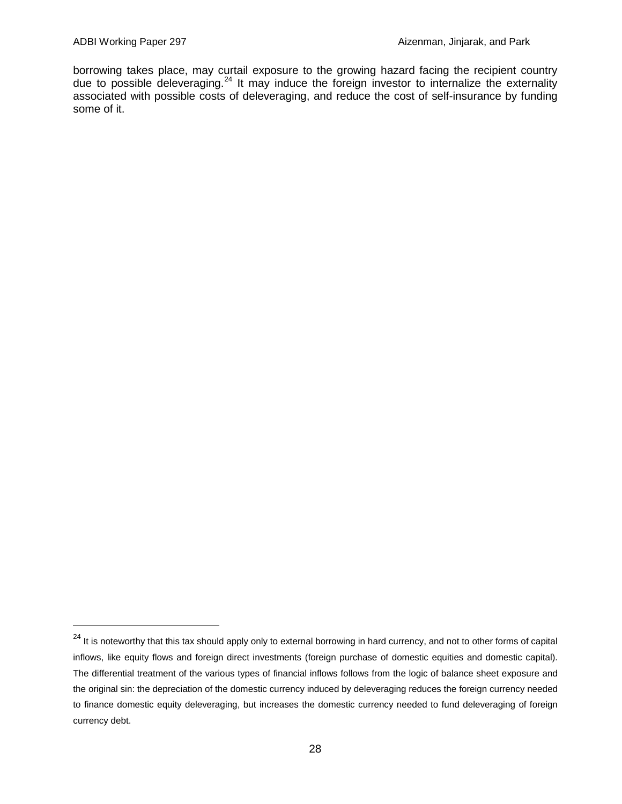borrowing takes place, may curtail exposure to the growing hazard facing the recipient country due to possible deleveraging.<sup>[24](#page-29-0)</sup> It may induce the foreign investor to internalize the externality associated with possible costs of deleveraging, and reduce the cost of self-insurance by funding some of it.

<span id="page-29-0"></span><sup>&</sup>lt;sup>24</sup> It is noteworthy that this tax should apply only to external borrowing in hard currency, and not to other forms of capital inflows, like equity flows and foreign direct investments (foreign purchase of domestic equities and domestic capital). The differential treatment of the various types of financial inflows follows from the logic of balance sheet exposure and the original sin: the depreciation of the domestic currency induced by deleveraging reduces the foreign currency needed to finance domestic equity deleveraging, but increases the domestic currency needed to fund deleveraging of foreign currency debt.